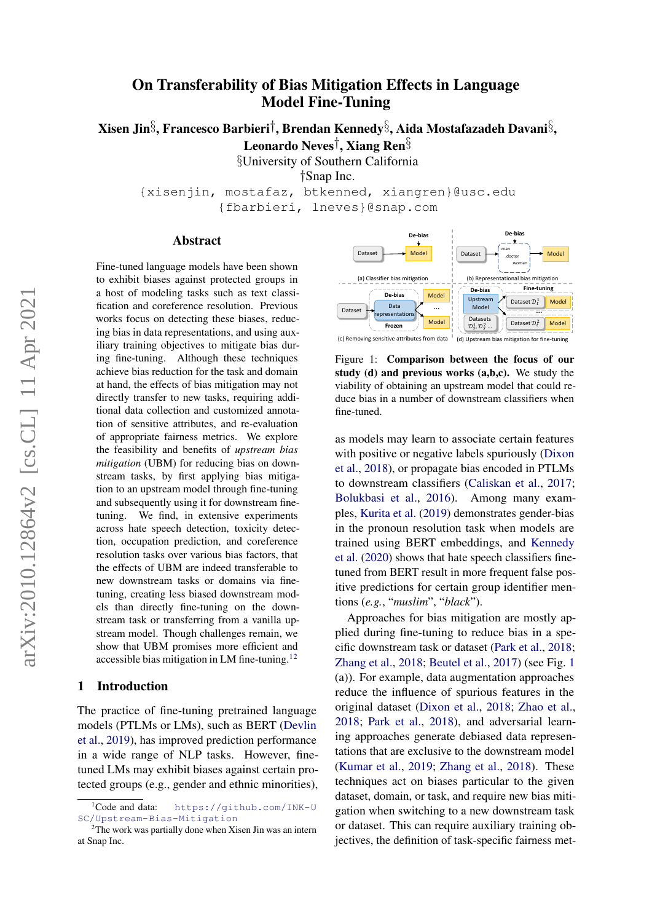# arXiv:2010.12864v2 [cs.CL] 11 Apr 2021 arXiv:2010.12864v2 [cs.CL] 11 Apr 2021

# On Transferability of Bias Mitigation Effects in Language Model Fine-Tuning

Xisen Jin $\S$ , Francesco Barbieri†, Brendan Kennedy $\S$ , Aida Mostafazadeh Davani $\S$ ,

Leonardo Neves†, Xiang Ren§

§University of Southern California

†Snap Inc.

{xisenjin, mostafaz, btkenned, xiangren}@usc.edu {fbarbieri, lneves}@snap.com

### Abstract

Fine-tuned language models have been shown to exhibit biases against protected groups in a host of modeling tasks such as text classification and coreference resolution. Previous works focus on detecting these biases, reducing bias in data representations, and using auxiliary training objectives to mitigate bias during fine-tuning. Although these techniques achieve bias reduction for the task and domain at hand, the effects of bias mitigation may not directly transfer to new tasks, requiring additional data collection and customized annotation of sensitive attributes, and re-evaluation of appropriate fairness metrics. We explore the feasibility and benefits of *upstream bias mitigation* (UBM) for reducing bias on downstream tasks, by first applying bias mitigation to an upstream model through fine-tuning and subsequently using it for downstream finetuning. We find, in extensive experiments across hate speech detection, toxicity detection, occupation prediction, and coreference resolution tasks over various bias factors, that the effects of UBM are indeed transferable to new downstream tasks or domains via finetuning, creating less biased downstream models than directly fine-tuning on the downstream task or transferring from a vanilla upstream model. Though challenges remain, we show that UBM promises more efficient and accessible bias mitigation in LM fine-tuning. $12$  $12$ 

### 1 Introduction

The practice of fine-tuning pretrained language models (PTLMs or LMs), such as BERT [\(Devlin](#page-8-0) [et al.,](#page-8-0) [2019\)](#page-8-0), has improved prediction performance in a wide range of NLP tasks. However, finetuned LMs may exhibit biases against certain protected groups (e.g., gender and ethnic minorities),

<span id="page-0-2"></span>

Figure 1: Comparison between the focus of our study (d) and previous works  $(a,b,c)$ . We study the viability of obtaining an upstream model that could reduce bias in a number of downstream classifiers when fine-tuned.

as models may learn to associate certain features with positive or negative labels spuriously [\(Dixon](#page-8-1) [et al.,](#page-8-1) [2018\)](#page-8-1), or propagate bias encoded in PTLMs to downstream classifiers [\(Caliskan et al.,](#page-8-2) [2017;](#page-8-2) [Bolukbasi et al.,](#page-8-3) [2016\)](#page-8-3). Among many examples, [Kurita et al.](#page-9-0) [\(2019\)](#page-9-0) demonstrates gender-bias in the pronoun resolution task when models are trained using BERT embeddings, and [Kennedy](#page-9-1) [et al.](#page-9-1) [\(2020\)](#page-9-1) shows that hate speech classifiers finetuned from BERT result in more frequent false positive predictions for certain group identifier mentions (*e.g.*, "*muslim*", "*black*").

Approaches for bias mitigation are mostly applied during fine-tuning to reduce bias in a specific downstream task or dataset [\(Park et al.,](#page-9-2) [2018;](#page-9-2) [Zhang et al.,](#page-10-0) [2018;](#page-10-0) [Beutel et al.,](#page-8-4) [2017\)](#page-8-4) (see Fig. [1](#page-0-2) (a)). For example, data augmentation approaches reduce the influence of spurious features in the original dataset [\(Dixon et al.,](#page-8-1) [2018;](#page-8-1) [Zhao et al.,](#page-10-1) [2018;](#page-10-1) [Park et al.,](#page-9-2) [2018\)](#page-9-2), and adversarial learning approaches generate debiased data representations that are exclusive to the downstream model [\(Kumar et al.,](#page-9-3) [2019;](#page-9-3) [Zhang et al.,](#page-10-0) [2018\)](#page-10-0). These techniques act on biases particular to the given dataset, domain, or task, and require new bias mitigation when switching to a new downstream task or dataset. This can require auxiliary training objectives, the definition of task-specific fairness met-

<span id="page-0-0"></span><sup>&</sup>lt;sup>1</sup>Code and data: [https://github.com/INK-U](https://github.com/INK-USC/Upstream-Bias-Mitigation) [SC/Upstream-Bias-Mitigation](https://github.com/INK-USC/Upstream-Bias-Mitigation)

<span id="page-0-1"></span> $2$ The work was partially done when Xisen Jin was an intern at Snap Inc.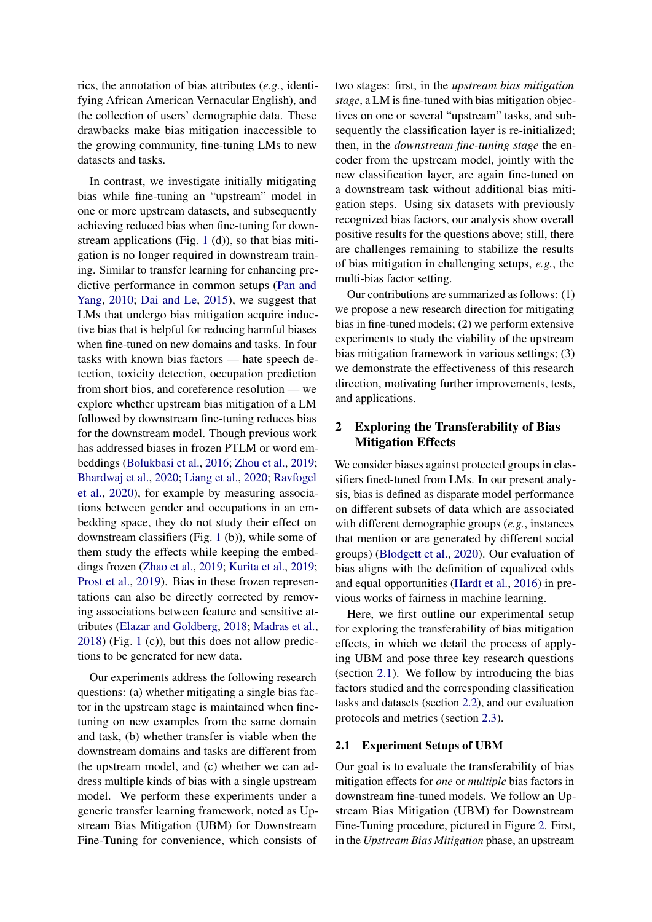rics, the annotation of bias attributes (*e.g.*, identifying African American Vernacular English), and the collection of users' demographic data. These drawbacks make bias mitigation inaccessible to the growing community, fine-tuning LMs to new datasets and tasks.

In contrast, we investigate initially mitigating bias while fine-tuning an "upstream" model in one or more upstream datasets, and subsequently achieving reduced bias when fine-tuning for downstream applications (Fig. [1](#page-0-2) (d)), so that bias mitigation is no longer required in downstream training. Similar to transfer learning for enhancing predictive performance in common setups [\(Pan and](#page-9-4) [Yang,](#page-9-4) [2010;](#page-9-4) [Dai and Le,](#page-8-5) [2015\)](#page-8-5), we suggest that LMs that undergo bias mitigation acquire inductive bias that is helpful for reducing harmful biases when fine-tuned on new domains and tasks. In four tasks with known bias factors — hate speech detection, toxicity detection, occupation prediction from short bios, and coreference resolution — we explore whether upstream bias mitigation of a LM followed by downstream fine-tuning reduces bias for the downstream model. Though previous work has addressed biases in frozen PTLM or word embeddings [\(Bolukbasi et al.,](#page-8-3) [2016;](#page-8-3) [Zhou et al.,](#page-10-2) [2019;](#page-10-2) [Bhardwaj et al.,](#page-8-6) [2020;](#page-8-6) [Liang et al.,](#page-9-5) [2020;](#page-9-5) [Ravfogel](#page-9-6) [et al.,](#page-9-6) [2020\)](#page-9-6), for example by measuring associations between gender and occupations in an embedding space, they do not study their effect on downstream classifiers (Fig. [1](#page-0-2) (b)), while some of them study the effects while keeping the embeddings frozen [\(Zhao et al.,](#page-10-3) [2019;](#page-10-3) [Kurita et al.,](#page-9-0) [2019;](#page-9-0) [Prost et al.,](#page-9-7) [2019\)](#page-9-7). Bias in these frozen representations can also be directly corrected by removing associations between feature and sensitive attributes [\(Elazar and Goldberg,](#page-8-7) [2018;](#page-8-7) [Madras et al.,](#page-9-8) [2018\)](#page-9-8) (Fig. [1](#page-0-2) (c)), but this does not allow predictions to be generated for new data.

Our experiments address the following research questions: (a) whether mitigating a single bias factor in the upstream stage is maintained when finetuning on new examples from the same domain and task, (b) whether transfer is viable when the downstream domains and tasks are different from the upstream model, and (c) whether we can address multiple kinds of bias with a single upstream model. We perform these experiments under a generic transfer learning framework, noted as Upstream Bias Mitigation (UBM) for Downstream Fine-Tuning for convenience, which consists of two stages: first, in the *upstream bias mitigation stage*, a LM is fine-tuned with bias mitigation objectives on one or several "upstream" tasks, and subsequently the classification layer is re-initialized; then, in the *downstream fine-tuning stage* the encoder from the upstream model, jointly with the new classification layer, are again fine-tuned on a downstream task without additional bias mitigation steps. Using six datasets with previously recognized bias factors, our analysis show overall positive results for the questions above; still, there are challenges remaining to stabilize the results of bias mitigation in challenging setups, *e.g.*, the multi-bias factor setting.

Our contributions are summarized as follows: (1) we propose a new research direction for mitigating bias in fine-tuned models; (2) we perform extensive experiments to study the viability of the upstream bias mitigation framework in various settings; (3) we demonstrate the effectiveness of this research direction, motivating further improvements, tests, and applications.

# 2 Exploring the Transferability of Bias Mitigation Effects

We consider biases against protected groups in classifiers fined-tuned from LMs. In our present analysis, bias is defined as disparate model performance on different subsets of data which are associated with different demographic groups (*e.g.*, instances that mention or are generated by different social groups) [\(Blodgett et al.,](#page-8-8) [2020\)](#page-8-8). Our evaluation of bias aligns with the definition of equalized odds and equal opportunities [\(Hardt et al.,](#page-9-9) [2016\)](#page-9-9) in previous works of fairness in machine learning.

Here, we first outline our experimental setup for exploring the transferability of bias mitigation effects, in which we detail the process of applying UBM and pose three key research questions (section [2.1\)](#page-1-0). We follow by introducing the bias factors studied and the corresponding classification tasks and datasets (section [2.2\)](#page-2-0), and our evaluation protocols and metrics (section [2.3\)](#page-3-0).

### <span id="page-1-0"></span>2.1 Experiment Setups of UBM

Our goal is to evaluate the transferability of bias mitigation effects for *one* or *multiple* bias factors in downstream fine-tuned models. We follow an Upstream Bias Mitigation (UBM) for Downstream Fine-Tuning procedure, pictured in Figure [2.](#page-2-1) First, in the *Upstream Bias Mitigation* phase, an upstream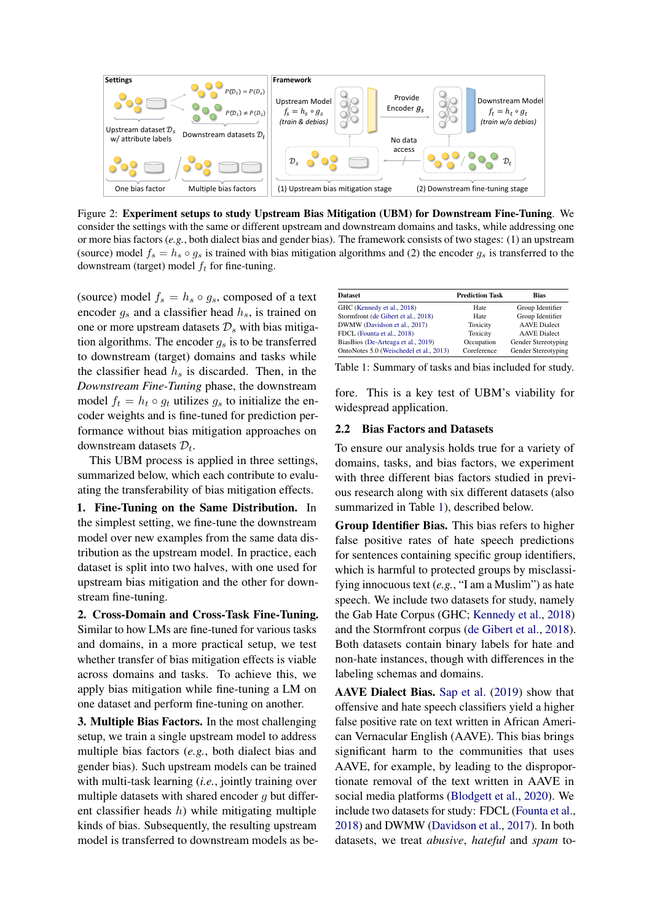<span id="page-2-1"></span>

Figure 2: Experiment setups to study Upstream Bias Mitigation (UBM) for Downstream Fine-Tuning. We consider the settings with the same or different upstream and downstream domains and tasks, while addressing one or more bias factors (*e.g.*, both dialect bias and gender bias). The framework consists of two stages: (1) an upstream (source) model  $f_s = h_s \circ g_s$  is trained with bias mitigation algorithms and (2) the encoder  $g_s$  is transferred to the downstream (target) model  $f_t$  for fine-tuning.

(source) model  $f_s = h_s \circ g_s$ , composed of a text encoder  $g_s$  and a classifier head  $h_s$ , is trained on one or more upstream datasets  $\mathcal{D}_s$  with bias mitigation algorithms. The encoder  $q_s$  is to be transferred to downstream (target) domains and tasks while the classifier head  $h_s$  is discarded. Then, in the *Downstream Fine-Tuning* phase, the downstream model  $f_t = h_t \circ q_t$  utilizes  $q_s$  to initialize the encoder weights and is fine-tuned for prediction performance without bias mitigation approaches on downstream datasets  $\mathcal{D}_t$ .

This UBM process is applied in three settings, summarized below, which each contribute to evaluating the transferability of bias mitigation effects.

1. Fine-Tuning on the Same Distribution. In the simplest setting, we fine-tune the downstream model over new examples from the same data distribution as the upstream model. In practice, each dataset is split into two halves, with one used for upstream bias mitigation and the other for downstream fine-tuning.

2. Cross-Domain and Cross-Task Fine-Tuning. Similar to how LMs are fine-tuned for various tasks and domains, in a more practical setup, we test whether transfer of bias mitigation effects is viable across domains and tasks. To achieve this, we apply bias mitigation while fine-tuning a LM on one dataset and perform fine-tuning on another.

3. Multiple Bias Factors. In the most challenging setup, we train a single upstream model to address multiple bias factors (*e.g.*, both dialect bias and gender bias). Such upstream models can be trained with multi-task learning (*i.e.*, jointly training over multiple datasets with shared encoder  $q$  but different classifier heads  $h$ ) while mitigating multiple kinds of bias. Subsequently, the resulting upstream model is transferred to downstream models as be-

<span id="page-2-2"></span>

| <b>Dataset</b>                          | <b>Prediction Task</b> | <b>Bias</b>         |
|-----------------------------------------|------------------------|---------------------|
| GHC (Kennedy et al., 2018)              | Hate                   | Group Identifier    |
| Stormfront (de Gibert et al., 2018)     | Hate                   | Group Identifier    |
| DWMW (Davidson et al., 2017)            | Toxicity               | <b>AAVE</b> Dialect |
| FDCL (Founta et al., 2018)              | Toxicity               | <b>AAVE</b> Dialect |
| BiasBios (De-Arteaga et al., 2019)      | Occupation             | Gender Stereotyping |
| OntoNotes 5.0 (Weischedel et al., 2013) | Coreference            | Gender Stereotyping |

Table 1: Summary of tasks and bias included for study.

fore. This is a key test of UBM's viability for widespread application.

### <span id="page-2-0"></span>2.2 Bias Factors and Datasets

To ensure our analysis holds true for a variety of domains, tasks, and bias factors, we experiment with three different bias factors studied in previous research along with six different datasets (also summarized in Table [1\)](#page-2-2), described below.

Group Identifier Bias. This bias refers to higher false positive rates of hate speech predictions for sentences containing specific group identifiers, which is harmful to protected groups by misclassifying innocuous text (*e.g.*, "I am a Muslim") as hate speech. We include two datasets for study, namely the Gab Hate Corpus (GHC; [Kennedy et al.,](#page-9-10) [2018\)](#page-9-10) and the Stormfront corpus [\(de Gibert et al.,](#page-8-9) [2018\)](#page-8-9). Both datasets contain binary labels for hate and non-hate instances, though with differences in the labeling schemas and domains.

AAVE Dialect Bias. [Sap et al.](#page-9-12) [\(2019\)](#page-9-12) show that offensive and hate speech classifiers yield a higher false positive rate on text written in African American Vernacular English (AAVE). This bias brings significant harm to the communities that uses AAVE, for example, by leading to the disproportionate removal of the text written in AAVE in social media platforms [\(Blodgett et al.,](#page-8-8) [2020\)](#page-8-8). We include two datasets for study: FDCL [\(Founta et al.,](#page-9-11) [2018\)](#page-9-11) and DWMW [\(Davidson et al.,](#page-8-10) [2017\)](#page-8-10). In both datasets, we treat *abusive*, *hateful* and *spam* to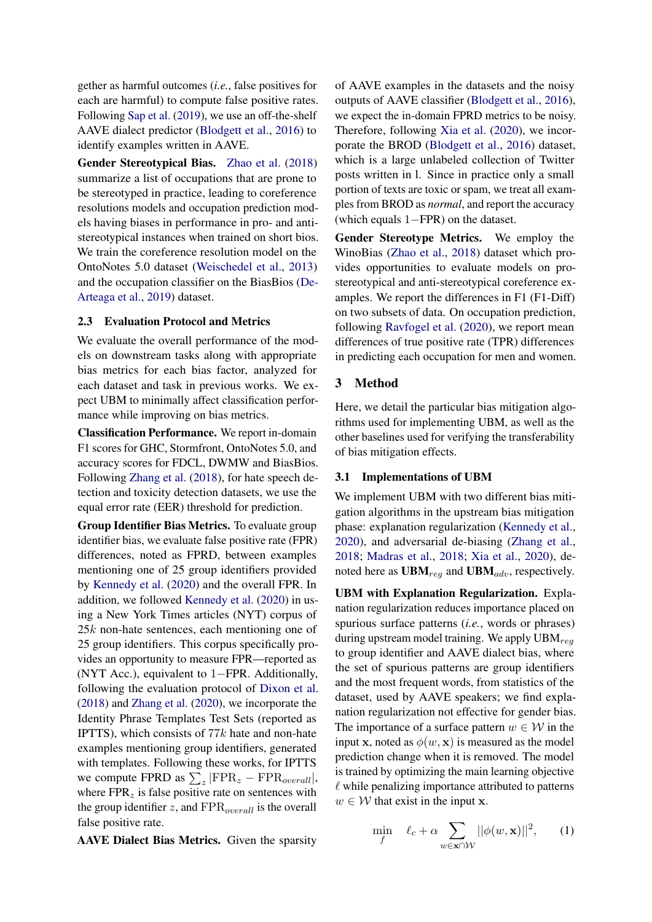gether as harmful outcomes (*i.e.*, false positives for each are harmful) to compute false positive rates. Following [Sap et al.](#page-9-12) [\(2019\)](#page-9-12), we use an off-the-shelf AAVE dialect predictor [\(Blodgett et al.,](#page-8-12) [2016\)](#page-8-12) to identify examples written in AAVE.

Gender Stereotypical Bias. [Zhao et al.](#page-10-1) [\(2018\)](#page-10-1) summarize a list of occupations that are prone to be stereotyped in practice, leading to coreference resolutions models and occupation prediction models having biases in performance in pro- and antistereotypical instances when trained on short bios. We train the coreference resolution model on the OntoNotes 5.0 dataset [\(Weischedel et al.,](#page-10-4) [2013\)](#page-10-4) and the occupation classifier on the BiasBios [\(De-](#page-8-11)[Arteaga et al.,](#page-8-11) [2019\)](#page-8-11) dataset.

### <span id="page-3-0"></span>2.3 Evaluation Protocol and Metrics

We evaluate the overall performance of the models on downstream tasks along with appropriate bias metrics for each bias factor, analyzed for each dataset and task in previous works. We expect UBM to minimally affect classification performance while improving on bias metrics.

Classification Performance. We report in-domain F1 scores for GHC, Stormfront, OntoNotes 5.0, and accuracy scores for FDCL, DWMW and BiasBios. Following [Zhang et al.](#page-10-0) [\(2018\)](#page-10-0), for hate speech detection and toxicity detection datasets, we use the equal error rate (EER) threshold for prediction.

Group Identifier Bias Metrics. To evaluate group identifier bias, we evaluate false positive rate (FPR) differences, noted as FPRD, between examples mentioning one of 25 group identifiers provided by [Kennedy et al.](#page-9-1) [\(2020\)](#page-9-1) and the overall FPR. In addition, we followed [Kennedy et al.](#page-9-1) [\(2020\)](#page-9-1) in using a New York Times articles (NYT) corpus of 25k non-hate sentences, each mentioning one of 25 group identifiers. This corpus specifically provides an opportunity to measure FPR—reported as (NYT Acc.), equivalent to 1−FPR. Additionally, following the evaluation protocol of [Dixon et al.](#page-8-1) [\(2018\)](#page-8-1) and [Zhang et al.](#page-10-5) [\(2020\)](#page-10-5), we incorporate the Identity Phrase Templates Test Sets (reported as IPTTS), which consists of  $77k$  hate and non-hate examples mentioning group identifiers, generated with templates. Following these works, for IPTTS we compute FPRD as  $\sum_z | \text{FPR}_z - \text{FPR}_{overall} |$ , where  $FPR<sub>z</sub>$  is false positive rate on sentences with the group identifier  $z$ , and  $\text{FPR}_{overall}$  is the overall false positive rate.

AAVE Dialect Bias Metrics. Given the sparsity

of AAVE examples in the datasets and the noisy outputs of AAVE classifier [\(Blodgett et al.,](#page-8-12) [2016\)](#page-8-12), we expect the in-domain FPRD metrics to be noisy. Therefore, following [Xia et al.](#page-10-6) [\(2020\)](#page-10-6), we incorporate the BROD [\(Blodgett et al.,](#page-8-12) [2016\)](#page-8-12) dataset, which is a large unlabeled collection of Twitter posts written in l. Since in practice only a small portion of texts are toxic or spam, we treat all examples from BROD as *normal*, and report the accuracy (which equals 1−FPR) on the dataset.

Gender Stereotype Metrics. We employ the WinoBias [\(Zhao et al.,](#page-10-1) [2018\)](#page-10-1) dataset which provides opportunities to evaluate models on prostereotypical and anti-stereotypical coreference examples. We report the differences in F1 (F1-Diff) on two subsets of data. On occupation prediction, following [Ravfogel et al.](#page-9-6) [\(2020\)](#page-9-6), we report mean differences of true positive rate (TPR) differences in predicting each occupation for men and women.

### 3 Method

Here, we detail the particular bias mitigation algorithms used for implementing UBM, as well as the other baselines used for verifying the transferability of bias mitigation effects.

### 3.1 Implementations of UBM

We implement UBM with two different bias mitigation algorithms in the upstream bias mitigation phase: explanation regularization [\(Kennedy et al.,](#page-9-1) [2020\)](#page-9-1), and adversarial de-biasing [\(Zhang et al.,](#page-10-0) [2018;](#page-10-0) [Madras et al.,](#page-9-8) [2018;](#page-9-8) [Xia et al.,](#page-10-6) [2020\)](#page-10-6), denoted here as  $\text{UBM}_{reg}$  and  $\text{UBM}_{adv}$ , respectively.

UBM with Explanation Regularization. Explanation regularization reduces importance placed on spurious surface patterns (*i.e.*, words or phrases) during upstream model training. We apply  $UBM_{req}$ to group identifier and AAVE dialect bias, where the set of spurious patterns are group identifiers and the most frequent words, from statistics of the dataset, used by AAVE speakers; we find explanation regularization not effective for gender bias. The importance of a surface pattern  $w \in \mathcal{W}$  in the input x, noted as  $\phi(w, x)$  is measured as the model prediction change when it is removed. The model is trained by optimizing the main learning objective  $\ell$  while penalizing importance attributed to patterns  $w \in \mathcal{W}$  that exist in the input **x**.

<span id="page-3-1"></span>
$$
\min_{f} \quad \ell_c + \alpha \sum_{w \in \mathbf{x} \cap \mathcal{W}} ||\phi(w, \mathbf{x})||^2, \qquad (1)
$$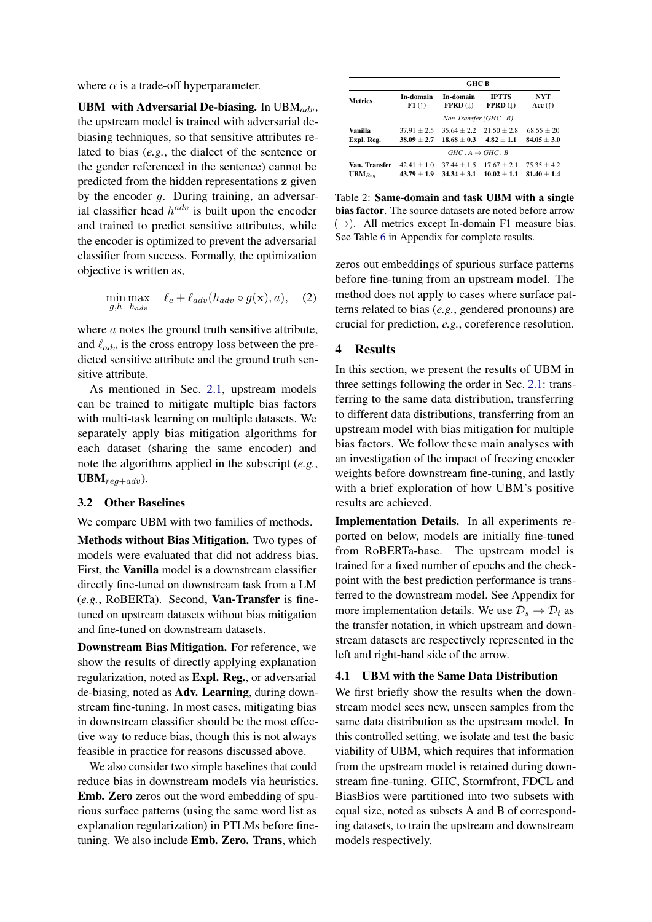where  $\alpha$  is a trade-off hyperparameter.

UBM with Adversarial De-biasing. In  $UBM_{adv}$ , the upstream model is trained with adversarial debiasing techniques, so that sensitive attributes related to bias (*e.g.*, the dialect of the sentence or the gender referenced in the sentence) cannot be predicted from the hidden representations z given by the encoder g. During training, an adversarial classifier head  $h^{adv}$  is built upon the encoder and trained to predict sensitive attributes, while the encoder is optimized to prevent the adversarial classifier from success. Formally, the optimization objective is written as,

$$
\min_{g,h} \max_{h_{adv}} \ell_c + \ell_{adv}(h_{adv} \circ g(\mathbf{x}), a), \quad (2)
$$

where *a* notes the ground truth sensitive attribute, and  $\ell_{adv}$  is the cross entropy loss between the predicted sensitive attribute and the ground truth sensitive attribute.

As mentioned in Sec. [2.1,](#page-1-0) upstream models can be trained to mitigate multiple bias factors with multi-task learning on multiple datasets. We separately apply bias mitigation algorithms for each dataset (sharing the same encoder) and note the algorithms applied in the subscript (*e.g.*,  $UBM_{req+adv}$ ).

### 3.2 Other Baselines

We compare UBM with two families of methods.

Methods without Bias Mitigation. Two types of models were evaluated that did not address bias. First, the Vanilla model is a downstream classifier directly fine-tuned on downstream task from a LM (*e.g.*, RoBERTa). Second, Van-Transfer is finetuned on upstream datasets without bias mitigation and fine-tuned on downstream datasets.

Downstream Bias Mitigation. For reference, we show the results of directly applying explanation regularization, noted as Expl. Reg., or adversarial de-biasing, noted as Adv. Learning, during downstream fine-tuning. In most cases, mitigating bias in downstream classifier should be the most effective way to reduce bias, though this is not always feasible in practice for reasons discussed above.

We also consider two simple baselines that could reduce bias in downstream models via heuristics. Emb. Zero zeros out the word embedding of spurious surface patterns (using the same word list as explanation regularization) in PTLMs before finetuning. We also include Emb. Zero. Trans, which

<span id="page-4-0"></span>

|                | <b>GHC B</b>           |                                 |               |                  |  |  |  |  |  |  |
|----------------|------------------------|---------------------------------|---------------|------------------|--|--|--|--|--|--|
| <b>Metrics</b> | In-domain              | In-domain                       | <b>IPTTS</b>  | NYT              |  |  |  |  |  |  |
|                | F1(                    | $FPRD$ ( $\downarrow$ )         | $FPRD$ (      | Acc $(\uparrow)$ |  |  |  |  |  |  |
|                | Non-Transfer (GHC . B) |                                 |               |                  |  |  |  |  |  |  |
| Vanilla        | $37.91 \pm 2.5$        | $35.64 + 2.2$                   | $21.50 + 2.8$ | $68.55 + 20$     |  |  |  |  |  |  |
| Expl. Reg.     | $38.09 \pm 2.7$        | $18.68 + 0.3$                   | $4.82 + 1.1$  | $84.05 \pm 3.0$  |  |  |  |  |  |  |
|                |                        | $GHC \, A \rightarrow GHC \, B$ |               |                  |  |  |  |  |  |  |
| Van. Transfer  | $42.41 + 1.0$          | $37.44 + 1.5$                   | $17.67 + 2.1$ | $75.35 + 4.2$    |  |  |  |  |  |  |
| $UBM_{Req}$    | $43.79 \pm 1.9$        | $34.34 + 3.1$                   | $10.02 + 1.1$ | $81.40 + 1.4$    |  |  |  |  |  |  |

Table 2: Same-domain and task UBM with a single bias factor. The source datasets are noted before arrow  $(\rightarrow)$ . All metrics except In-domain F1 measure bias. See Table [6](#page-12-0) in Appendix for complete results.

zeros out embeddings of spurious surface patterns before fine-tuning from an upstream model. The method does not apply to cases where surface patterns related to bias (*e.g.*, gendered pronouns) are crucial for prediction, *e.g.*, coreference resolution.

### 4 Results

In this section, we present the results of UBM in three settings following the order in Sec. [2.1:](#page-1-0) transferring to the same data distribution, transferring to different data distributions, transferring from an upstream model with bias mitigation for multiple bias factors. We follow these main analyses with an investigation of the impact of freezing encoder weights before downstream fine-tuning, and lastly with a brief exploration of how UBM's positive results are achieved.

Implementation Details. In all experiments reported on below, models are initially fine-tuned from RoBERTa-base. The upstream model is trained for a fixed number of epochs and the checkpoint with the best prediction performance is transferred to the downstream model. See Appendix for more implementation details. We use  $\mathcal{D}_s \rightarrow \mathcal{D}_t$  as the transfer notation, in which upstream and downstream datasets are respectively represented in the left and right-hand side of the arrow.

### 4.1 UBM with the Same Data Distribution

We first briefly show the results when the downstream model sees new, unseen samples from the same data distribution as the upstream model. In this controlled setting, we isolate and test the basic viability of UBM, which requires that information from the upstream model is retained during downstream fine-tuning. GHC, Stormfront, FDCL and BiasBios were partitioned into two subsets with equal size, noted as subsets A and B of corresponding datasets, to train the upstream and downstream models respectively.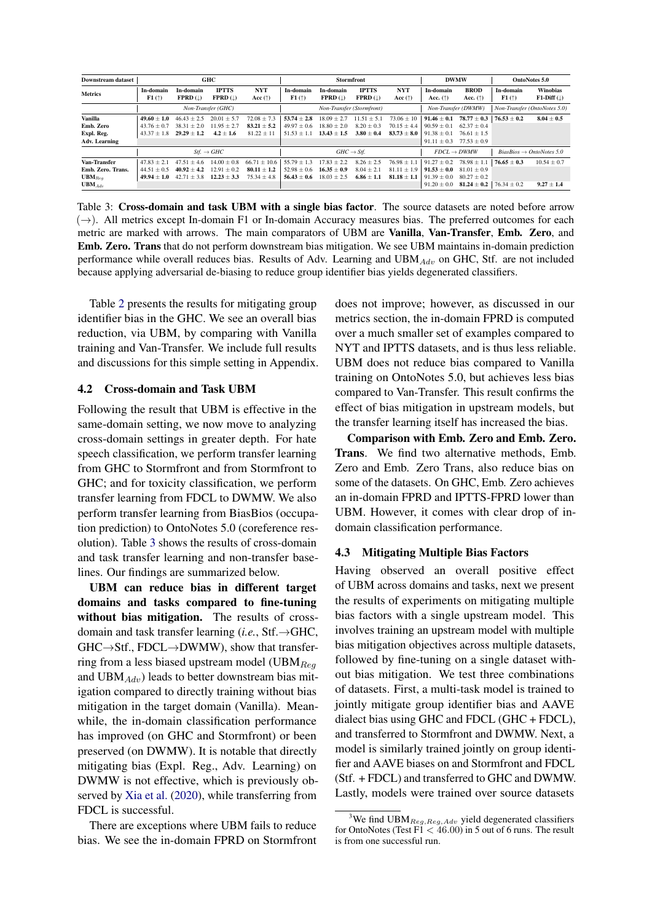<span id="page-5-0"></span>

| <b>Downstream dataset</b>                                              |                                                 |                                                   | GHC                                             |                                                  |                                                 | <b>Stormfront</b>                                  |                                                  |                                                     |                                                                      | <b>DWMW</b>                                                          |                                      | OntoNotes 5.0                    |  |
|------------------------------------------------------------------------|-------------------------------------------------|---------------------------------------------------|-------------------------------------------------|--------------------------------------------------|-------------------------------------------------|----------------------------------------------------|--------------------------------------------------|-----------------------------------------------------|----------------------------------------------------------------------|----------------------------------------------------------------------|--------------------------------------|----------------------------------|--|
| <b>Metrics</b>                                                         | In-domain<br>F1(†)                              | In-domain<br><b>FPRD</b> $(\downarrow)$           | <b>IPTTS</b><br>$FPRD$ (1)                      | <b>NYT</b><br>Acc $(\uparrow)$                   | In-domain<br>F1(                                | In-domain<br><b>FPRD</b> $(1)$                     | <b>IPTTS</b><br><b>FPRD</b> $(\downarrow)$       | <b>NYT</b><br>Acc $(\uparrow)$                      | In-domain<br>Acc. $(\uparrow)$                                       | <b>BROD</b><br>Acc. $(†)$                                            | In-domain<br>F1(                     | <b>Winobias</b><br>$F1-Diff$ (1) |  |
|                                                                        | Non-Transfer (GHC)                              |                                                   |                                                 | Non-Transfer (Stormfront)                        |                                                 |                                                    |                                                  | Non-Transfer (DWMW)                                 |                                                                      | Non-Transfer (OntoNotes 5.0)                                         |                                      |                                  |  |
| Vanilla<br>Emb. Zero                                                   | $49.60 + 1.0$<br>$43.76 + 0.7$                  | $46.43 + 2.5$<br>$38.31 + 2.0$                    | $20.01 \pm 5.7$<br>$11.95 + 2.7$                | $72.08 \pm 7.3$<br>$83.21 \pm 5.2$               | $53.74 + 2.8$<br>$49.97 \pm 0.6$                | $18.09 + 2.7$<br>$18.80 \pm 2.0$                   | $11.51 \pm 5.1$<br>$8.20 + 0.3$                  | $73.06 \pm 10$<br>$70.15 \pm 4.4$                   | $91.46 \pm 0.1$<br>$90.59 \pm 0.1$                                   | $78.77 \pm 0.3$<br>$62.37 + 0.4$                                     | $76.53 + 0.2$                        | $8.04 + 0.5$                     |  |
| Expl. Reg.<br>Adv. Learning                                            | $43.37 + 1.8$                                   | $29.29 + 1.2$                                     | $4.2 + 1.6$                                     | $81.22 + 11$                                     | $51.53 + 1$                                     | $13.43 + 1.5$                                      | $3.80 + 0.4$                                     | $83.73 + 8.0$                                       | $91.38 + 0.1$<br>$91.11 \pm 0.3$                                     | $76.61 \pm 1.5$<br>$77.53 \pm 0.9$                                   |                                      |                                  |  |
|                                                                        |                                                 |                                                   | $Stf. \rightarrow GHC$                          |                                                  | $GHC \rightarrow Stf.$                          |                                                    |                                                  | $FDCL \rightarrow DWMW$                             |                                                                      |                                                                      | $BiasBias \rightarrow Ontolotes 5.0$ |                                  |  |
| Van-Transfer<br>Emb. Zero. Trans.<br>$UBM_{Bea}$<br>UBM <sub>Adn</sub> | $47.83 + 2.1$<br>$44.51 + 0.5$<br>$49.94 + 1.0$ | $47.51 \pm 4.6$<br>$40.92 + 4.2$<br>$42.71 + 3.8$ | $14.00 + 0.8$<br>$12.91 + 0.2$<br>$12.23 + 3.3$ | $66.71 + 10.6$<br>$80.11 + 1.2$<br>$75.34 + 4.8$ | $55.79 + 1.3$<br>$52.98 + 0.6$<br>$56.43 + 0.6$ | 7.83<br>$+2.2$<br>$16.35 \pm 0.9$<br>$18.03 + 2.5$ | $8.26 \pm 2.5$<br>$8.04 + 2.1$<br>$6.86 \pm 1.1$ | $76.98 \pm 1.1$<br>$81.11 + 1.9$<br>$81.18 \pm 1.1$ | $91.27 + 0.2$<br>$91.53 + 0.0$<br>$91.39 \pm 0.0$<br>$91.20 \pm 0.0$ | $78.98 + 1.1$<br>$81.01 \pm 0.9$<br>$80.27 + 0.2$<br>$81.24 \pm 0.2$ | $76.65 + 0.3$<br>$76.34 \pm 0.2$     | $10.54 + 0.7$<br>$9.27 \pm 1.4$  |  |

Table 3: Cross-domain and task UBM with a single bias factor. The source datasets are noted before arrow  $(\rightarrow)$ . All metrics except In-domain F1 or In-domain Accuracy measures bias. The preferred outcomes for each metric are marked with arrows. The main comparators of UBM are Vanilla, Van-Transfer, Emb. Zero, and Emb. Zero. Trans that do not perform downstream bias mitigation. We see UBM maintains in-domain prediction performance while overall reduces bias. Results of Adv. Learning and UBM $_{Adv}$  on GHC, Stf. are not included because applying adversarial de-biasing to reduce group identifier bias yields degenerated classifiers.

Table [2](#page-4-0) presents the results for mitigating group identifier bias in the GHC. We see an overall bias reduction, via UBM, by comparing with Vanilla training and Van-Transfer. We include full results and discussions for this simple setting in Appendix.

### 4.2 Cross-domain and Task UBM

Following the result that UBM is effective in the same-domain setting, we now move to analyzing cross-domain settings in greater depth. For hate speech classification, we perform transfer learning from GHC to Stormfront and from Stormfront to GHC; and for toxicity classification, we perform transfer learning from FDCL to DWMW. We also perform transfer learning from BiasBios (occupation prediction) to OntoNotes 5.0 (coreference resolution). Table [3](#page-5-0) shows the results of cross-domain and task transfer learning and non-transfer baselines. Our findings are summarized below.

UBM can reduce bias in different target domains and tasks compared to fine-tuning without bias mitigation. The results of crossdomain and task transfer learning (*i.e.*, Stf.→GHC,  $GHC \rightarrow Stf., FDCL \rightarrow DWMW$ ), show that transferring from a less biased upstream model (UBM $_{Req}$ and UBM $_{Adv}$ ) leads to better downstream bias mitigation compared to directly training without bias mitigation in the target domain (Vanilla). Meanwhile, the in-domain classification performance has improved (on GHC and Stormfront) or been preserved (on DWMW). It is notable that directly mitigating bias (Expl. Reg., Adv. Learning) on DWMW is not effective, which is previously observed by [Xia et al.](#page-10-6) [\(2020\)](#page-10-6), while transferring from FDCL is successful.

There are exceptions where UBM fails to reduce bias. We see the in-domain FPRD on Stormfront does not improve; however, as discussed in our metrics section, the in-domain FPRD is computed over a much smaller set of examples compared to NYT and IPTTS datasets, and is thus less reliable. UBM does not reduce bias compared to Vanilla training on OntoNotes 5.0, but achieves less bias compared to Van-Transfer. This result confirms the effect of bias mitigation in upstream models, but the transfer learning itself has increased the bias.

Comparison with Emb. Zero and Emb. Zero. Trans. We find two alternative methods, Emb. Zero and Emb. Zero Trans, also reduce bias on some of the datasets. On GHC, Emb. Zero achieves an in-domain FPRD and IPTTS-FPRD lower than UBM. However, it comes with clear drop of indomain classification performance.

### 4.3 Mitigating Multiple Bias Factors

Having observed an overall positive effect of UBM across domains and tasks, next we present the results of experiments on mitigating multiple bias factors with a single upstream model. This involves training an upstream model with multiple bias mitigation objectives across multiple datasets, followed by fine-tuning on a single dataset without bias mitigation. We test three combinations of datasets. First, a multi-task model is trained to jointly mitigate group identifier bias and AAVE dialect bias using GHC and FDCL (GHC + FDCL), and transferred to Stormfront and DWMW. Next, a model is similarly trained jointly on group identifier and AAVE biases on and Stormfront and FDCL (Stf. + FDCL) and transferred to GHC and DWMW. Lastly, models were trained over source datasets

<span id="page-5-1"></span><sup>&</sup>lt;sup>3</sup>We find UBM<sub>Reg,Reg,Adv</sub> yield degenerated classifiers for OntoNotes (Test  $F1 < 46.00$ ) in 5 out of 6 runs. The result is from one successful run.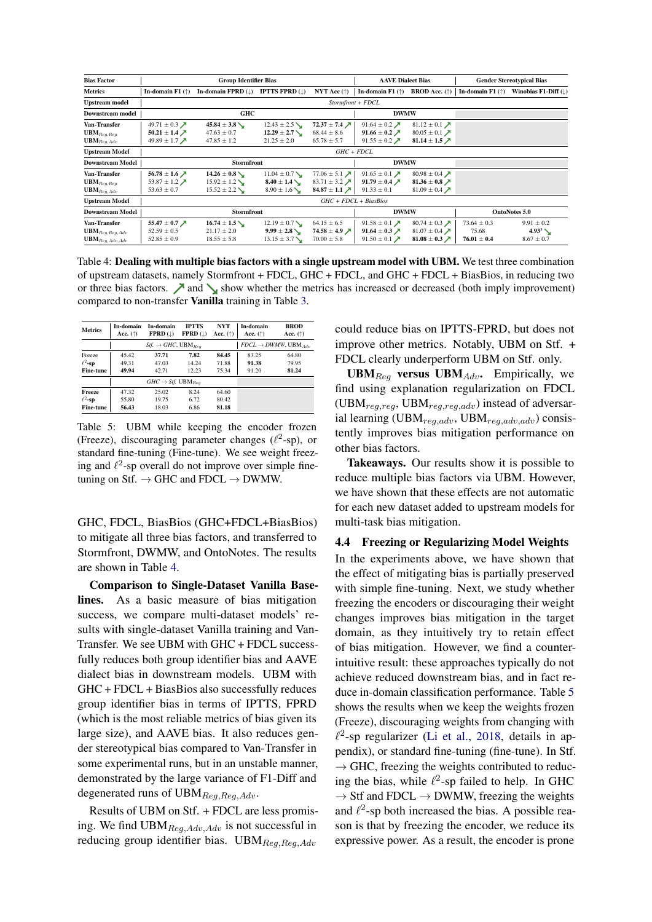<span id="page-6-0"></span>

| <b>Bias Factor</b>           |                                        | <b>Group Identifier Bias</b>  |                            |                                        | <b>AAVE Dialect Bias</b>                  |                                        |                           | <b>Gender Stereotypical Bias</b> |  |  |  |
|------------------------------|----------------------------------------|-------------------------------|----------------------------|----------------------------------------|-------------------------------------------|----------------------------------------|---------------------------|----------------------------------|--|--|--|
| <b>Metrics</b>               | In-domain $F1$ ( $\uparrow$ )          | In-domain FPRD $(\downarrow)$ | <b>IPTTS FPRD</b> $(L)$    | NYT Acc $(\uparrow)$                   | In-domain F1 $(\uparrow)$                 | <b>BROD</b> Acc. $(\uparrow)$          | In-domain F1 $(\uparrow)$ | Winobias F1-Diff $(\downarrow)$  |  |  |  |
| <b>Upstream model</b>        |                                        |                               |                            |                                        |                                           |                                        |                           |                                  |  |  |  |
| <b>Downstream model</b>      | <b>GHC</b>                             |                               |                            |                                        | <b>DWMW</b>                               |                                        |                           |                                  |  |  |  |
| Van-Transfer                 | 49.71 $\pm$ 0.3 $\cancel{\phantom{1}}$ | $45.84 \pm 3.8$               | $12.43 \pm 2.5$            | 72.37 $\pm$ 7.4 $\cancel{\phantom{0}}$ | 91.64 $\pm$ 0.2 $\cancel{\triangleright}$ | 81.12 $\pm$ 0.1 $\lambda$              |                           |                                  |  |  |  |
| $\mathbf{UBM}_{Req,Req}$     | 50.21 ± 1.4 $\lambda$                  | $47.63 \pm 0.7$               | $12.29 \pm 2.7$ $\searrow$ | $68.44 \pm 8.6$                        | 91.66 $\pm$ 0.2 $\cancel{\sim}$           | 80.05 ± 0.1 $\lambda$                  |                           |                                  |  |  |  |
| $\mathbf{UBM}_{Reg, Adv}$    | 49.89 $\pm$ 1.7 $\cancel{\phantom{1}}$ | $47.85 \pm 1.2$               | $21.25 \pm 2.0$            | $65.78 \pm 5.7$                        | 91.55 $\pm$ 0.2 $\cancel{\rightarrow}$    | 81.14 ± 1.5 $\cancel{\nearrow}$        |                           |                                  |  |  |  |
| <b>Upstream Model</b>        |                                        | $GHC + FDCL$                  |                            |                                        |                                           |                                        |                           |                                  |  |  |  |
| <b>Downstream Model</b>      |                                        | <b>Stormfront</b>             |                            |                                        | <b>DWMW</b>                               |                                        |                           |                                  |  |  |  |
| Van-Transfer                 | 56.78 $\pm$ 1.6 $\cancel{\phantom{1}}$ | $14.26 \pm 0.8$               | $11.04 \pm 0.7$            | 77.06 $\pm$ 5.1 $\times$               | 91.65 $\pm$ 0.1 $\lambda$                 | 80.98 ± 0.4 $\cancel{\triangleright}$  |                           |                                  |  |  |  |
| $\mathbf{UBM}_{Req,Req}$     | 53.87 ± 1.2 $\cancel{\prime}$          | $15.92 \pm 1.2$               | $8.40 \pm 1.4$ $\searrow$  | 83.71 ± 3.2 $\cancel{\phantom{0}}$     | 91.79 $\pm$ 0.4 $\cancel{\sqrt{ }}$       | 81.36 $\pm$ 0.8 $\cancel{\nearrow}$    |                           |                                  |  |  |  |
| $UBM_{Req, Adv}$             | $53.63 \pm 0.7$                        | $15.52 \pm 2.2$               | $8.90 \pm 1.6$ V           | 84.87 ± 1.1 $\lambda$                  | $91.33 \pm 0.1$                           | 81.09 ± 0.4 $\cancel{\triangleright}$  |                           |                                  |  |  |  |
| <b>Upstream Model</b>        |                                        |                               |                            | $GHC + FDCL + BiasBios$                |                                           |                                        |                           |                                  |  |  |  |
| <b>Downstream Model</b>      | <b>Stormfront</b>                      |                               |                            |                                        | <b>DWMW</b>                               |                                        | <b>OntoNotes 5.0</b>      |                                  |  |  |  |
| Van-Transfer                 | 55.47 $\pm$ 0.7 $\cancel{\nearrow}$    | $16.74 \pm 1.5$               | $12.19 \pm 0.7$            | $64.15 \pm 6.5$                        | 91.58 $\pm$ 0.1 $\cancel{\pi}$            | 80.74 $\pm$ 0.3 $\cancel{\phantom{1}}$ | $73.64 \pm 0.3$           | $9.91 \pm 0.2$                   |  |  |  |
| $\mathbf{UBM}_{Reg,Reg,Adv}$ | $52.59 \pm 0.5$                        | $21.17 \pm 2.0$               | $9.99 \pm 2.8$             | 74.58 $\pm$ 4.9 $\cancel{\sqrt{ }}$    | 91.64 $\pm$ 0.3 $\cancel{\triangleright}$ | 81.07 ± 0.4 $\cancel{\rightarrow}$     | 75.68                     | $4.93^{3}$ $\sim$                |  |  |  |
| $UBM_{Reg, Adv, Adv}$        | $52.85 \pm 0.9$                        | $18.55 \pm 5.8$               | $13.15 \pm 3.7$            | $70.00 \pm 5.8$                        | 91.50 $\pm$ 0.1 $\cancel{\rightarrow}$    | 81.08 $\pm$ 0.3 $\cancel{\sim}$        | $76.01 \pm 0.4$           | $8.67 \pm 0.7$                   |  |  |  |

Table 4: Dealing with multiple bias factors with a single upstream model with UBM. We test three combination of upstream datasets, namely Stormfront + FDCL, GHC + FDCL, and GHC + FDCL + BiasBios, in reducing two or three bias factors.  $\nearrow$  and  $\searrow$  show whether the metrics has increased or decreased (both imply improvement) compared to non-transfer Vanilla training in Table [3.](#page-5-0)

<span id="page-6-1"></span>

| <b>Metrics</b>   | In-domain<br>Acc. $(†)$ | In-domain<br>$FPRD$ ( $\downarrow$ )        | <b>IPTTS</b><br>$FPRD$ ( $\perp$ ) | <b>NYT</b><br>Acc. $(\uparrow)$ | In-domain<br>Acc. $(†)$                | <b>BROD</b><br>Acc. $(\uparrow)$ |
|------------------|-------------------------|---------------------------------------------|------------------------------------|---------------------------------|----------------------------------------|----------------------------------|
|                  |                         | $Stf. \rightarrow GHC$ , UBM <sub>Rea</sub> |                                    |                                 | $FDCL \rightarrow DWMW$ , UBM $_{4dv}$ |                                  |
| Freeze           | 45.42                   | 37.71                                       | 7.82                               | 84.45                           | 83.25                                  | 64.80                            |
| $\ell^2$ -sp     | 49.31                   | 47.03                                       | 14.24                              | 71.88                           | 91.38                                  | 79.95                            |
| <b>Fine-tune</b> | 49.94                   | 42.71                                       | 12.23                              | 75.34                           | 91.20                                  | 81.24                            |
|                  |                         | $GHC \rightarrow Stf. \text{ UBM}_{Bea}$    |                                    |                                 |                                        |                                  |
| Freeze           | 47.32                   | 25.02                                       | 8.24                               | 64.60                           |                                        |                                  |
| $\ell^2$ -sp     | 55.80                   | 19.75                                       | 6.72                               | 80.42                           |                                        |                                  |
| <b>Fine-tune</b> | 56.43                   | 18.03                                       | 6.86                               | 81.18                           |                                        |                                  |

Table 5: UBM while keeping the encoder frozen (Freeze), discouraging parameter changes ( $\ell^2$ -sp), or standard fine-tuning (Fine-tune). We see weight freezing and  $\ell^2$ -sp overall do not improve over simple finetuning on Stf.  $\rightarrow$  GHC and FDCL  $\rightarrow$  DWMW.

GHC, FDCL, BiasBios (GHC+FDCL+BiasBios) to mitigate all three bias factors, and transferred to Stormfront, DWMW, and OntoNotes. The results are shown in Table [4.](#page-6-0)

Comparison to Single-Dataset Vanilla Baselines. As a basic measure of bias mitigation success, we compare multi-dataset models' results with single-dataset Vanilla training and Van-Transfer. We see UBM with GHC + FDCL successfully reduces both group identifier bias and AAVE dialect bias in downstream models. UBM with GHC + FDCL + BiasBios also successfully reduces group identifier bias in terms of IPTTS, FPRD (which is the most reliable metrics of bias given its large size), and AAVE bias. It also reduces gender stereotypical bias compared to Van-Transfer in some experimental runs, but in an unstable manner, demonstrated by the large variance of F1-Diff and degenerated runs of  $UBM_{Reg,Reg,Adv}$ .

Results of UBM on Stf. + FDCL are less promising. We find  $UBM_{Req,Adv,Adv}$  is not successful in reducing group identifier bias. UBM $_{Req,Req,Adv}$ 

could reduce bias on IPTTS-FPRD, but does not improve other metrics. Notably, UBM on Stf. + FDCL clearly underperform UBM on Stf. only.

UBM $_{Req}$  versus UBM $_{Adv}$ . Empirically, we find using explanation regularization on FDCL  $(UBM_{req,req}, UBM_{req,req,adv})$  instead of adversarial learning (UBM $_{reg,adv}$ , UBM $_{reg,adv,adv}$ ) consistently improves bias mitigation performance on other bias factors.

Takeaways. Our results show it is possible to reduce multiple bias factors via UBM. However, we have shown that these effects are not automatic for each new dataset added to upstream models for multi-task bias mitigation.

### <span id="page-6-2"></span>4.4 Freezing or Regularizing Model Weights

In the experiments above, we have shown that the effect of mitigating bias is partially preserved with simple fine-tuning. Next, we study whether freezing the encoders or discouraging their weight changes improves bias mitigation in the target domain, as they intuitively try to retain effect of bias mitigation. However, we find a counterintuitive result: these approaches typically do not achieve reduced downstream bias, and in fact reduce in-domain classification performance. Table [5](#page-6-1) shows the results when we keep the weights frozen (Freeze), discouraging weights from changing with  $\ell^2$ -sp regularizer [\(Li et al.,](#page-9-13) [2018,](#page-9-13) details in appendix), or standard fine-tuning (fine-tune). In Stf.  $\rightarrow$  GHC, freezing the weights contributed to reducing the bias, while  $\ell^2$ -sp failed to help. In GHC  $\rightarrow$  Stf and FDCL  $\rightarrow$  DWMW, freezing the weights and  $\ell^2$ -sp both increased the bias. A possible reason is that by freezing the encoder, we reduce its expressive power. As a result, the encoder is prone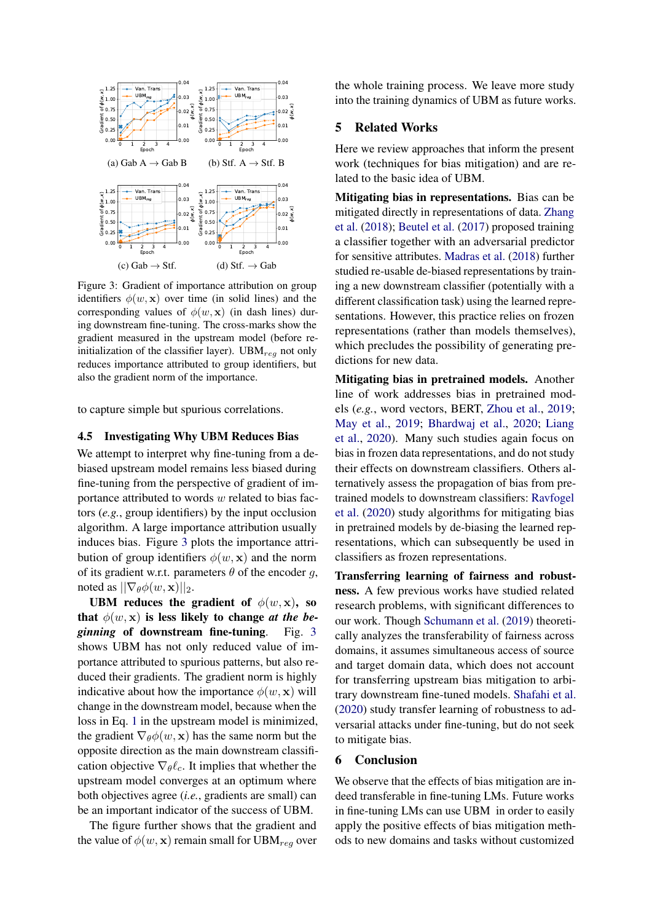<span id="page-7-0"></span>

Figure 3: Gradient of importance attribution on group identifiers  $\phi(w, x)$  over time (in solid lines) and the corresponding values of  $\phi(w, \mathbf{x})$  (in dash lines) during downstream fine-tuning. The cross-marks show the gradient measured in the upstream model (before reinitialization of the classifier layer). UBM $_{req}$  not only reduces importance attributed to group identifiers, but also the gradient norm of the importance.

to capture simple but spurious correlations.

### <span id="page-7-1"></span>4.5 Investigating Why UBM Reduces Bias

We attempt to interpret why fine-tuning from a debiased upstream model remains less biased during fine-tuning from the perspective of gradient of importance attributed to words w related to bias factors (*e.g.*, group identifiers) by the input occlusion algorithm. A large importance attribution usually induces bias. Figure [3](#page-7-0) plots the importance attribution of group identifiers  $\phi(w, \mathbf{x})$  and the norm of its gradient w.r.t. parameters  $\theta$  of the encoder g, noted as  $||\nabla_{\theta}\phi(w, \mathbf{x})||_2$ .

UBM reduces the gradient of  $\phi(w, \mathbf{x})$ , so that  $\phi(w, x)$  is less likely to change *at the beginning* of downstream fine-tuning. Fig. [3](#page-7-0) shows UBM has not only reduced value of importance attributed to spurious patterns, but also reduced their gradients. The gradient norm is highly indicative about how the importance  $\phi(w, \mathbf{x})$  will change in the downstream model, because when the loss in Eq. [1](#page-3-1) in the upstream model is minimized, the gradient  $\nabla_{\theta} \phi(w, \mathbf{x})$  has the same norm but the opposite direction as the main downstream classification objective  $\nabla_{\theta} \ell_c$ . It implies that whether the upstream model converges at an optimum where both objectives agree (*i.e.*, gradients are small) can be an important indicator of the success of UBM.

The figure further shows that the gradient and the value of  $\phi(w, x)$  remain small for UBM<sub>req</sub> over the whole training process. We leave more study into the training dynamics of UBM as future works.

## 5 Related Works

Here we review approaches that inform the present work (techniques for bias mitigation) and are related to the basic idea of UBM.

Mitigating bias in representations. Bias can be mitigated directly in representations of data. [Zhang](#page-10-0) [et al.](#page-10-0) [\(2018\)](#page-10-0); [Beutel et al.](#page-8-4) [\(2017\)](#page-8-4) proposed training a classifier together with an adversarial predictor for sensitive attributes. [Madras et al.](#page-9-8) [\(2018\)](#page-9-8) further studied re-usable de-biased representations by training a new downstream classifier (potentially with a different classification task) using the learned representations. However, this practice relies on frozen representations (rather than models themselves), which precludes the possibility of generating predictions for new data.

Mitigating bias in pretrained models. Another line of work addresses bias in pretrained models (*e.g.*, word vectors, BERT, [Zhou et al.,](#page-10-2) [2019;](#page-10-2) [May et al.,](#page-9-14) [2019;](#page-9-14) [Bhardwaj et al.,](#page-8-6) [2020;](#page-8-6) [Liang](#page-9-5) [et al.,](#page-9-5) [2020\)](#page-9-5). Many such studies again focus on bias in frozen data representations, and do not study their effects on downstream classifiers. Others alternatively assess the propagation of bias from pretrained models to downstream classifiers: [Ravfogel](#page-9-6) [et al.](#page-9-6) [\(2020\)](#page-9-6) study algorithms for mitigating bias in pretrained models by de-biasing the learned representations, which can subsequently be used in classifiers as frozen representations.

Transferring learning of fairness and robustness. A few previous works have studied related research problems, with significant differences to our work. Though [Schumann et al.](#page-9-15) [\(2019\)](#page-9-15) theoretically analyzes the transferability of fairness across domains, it assumes simultaneous access of source and target domain data, which does not account for transferring upstream bias mitigation to arbitrary downstream fine-tuned models. [Shafahi et al.](#page-10-7) [\(2020\)](#page-10-7) study transfer learning of robustness to adversarial attacks under fine-tuning, but do not seek to mitigate bias.

# 6 Conclusion

We observe that the effects of bias mitigation are indeed transferable in fine-tuning LMs. Future works in fine-tuning LMs can use UBM in order to easily apply the positive effects of bias mitigation methods to new domains and tasks without customized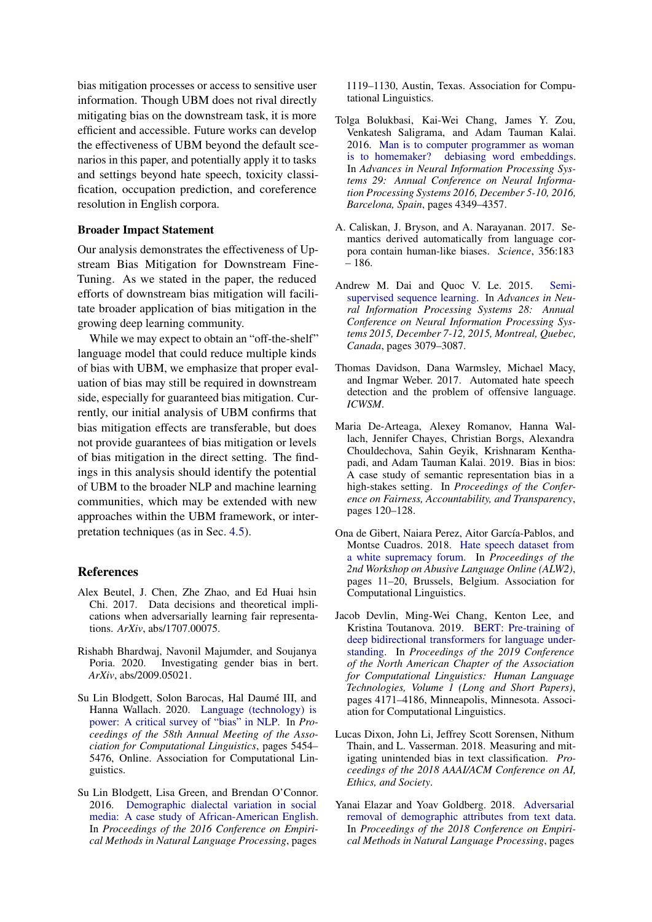bias mitigation processes or access to sensitive user information. Though UBM does not rival directly mitigating bias on the downstream task, it is more efficient and accessible. Future works can develop the effectiveness of UBM beyond the default scenarios in this paper, and potentially apply it to tasks and settings beyond hate speech, toxicity classification, occupation prediction, and coreference resolution in English corpora.

### Broader Impact Statement

Our analysis demonstrates the effectiveness of Upstream Bias Mitigation for Downstream Fine-Tuning. As we stated in the paper, the reduced efforts of downstream bias mitigation will facilitate broader application of bias mitigation in the growing deep learning community.

While we may expect to obtain an "off-the-shelf" language model that could reduce multiple kinds of bias with UBM, we emphasize that proper evaluation of bias may still be required in downstream side, especially for guaranteed bias mitigation. Currently, our initial analysis of UBM confirms that bias mitigation effects are transferable, but does not provide guarantees of bias mitigation or levels of bias mitigation in the direct setting. The findings in this analysis should identify the potential of UBM to the broader NLP and machine learning communities, which may be extended with new approaches within the UBM framework, or interpretation techniques (as in Sec. [4.5\)](#page-7-1).

### References

- <span id="page-8-4"></span>Alex Beutel, J. Chen, Zhe Zhao, and Ed Huai hsin Chi. 2017. Data decisions and theoretical implications when adversarially learning fair representations. *ArXiv*, abs/1707.00075.
- <span id="page-8-6"></span>Rishabh Bhardwaj, Navonil Majumder, and Soujanya Poria. 2020. Investigating gender bias in bert. *ArXiv*, abs/2009.05021.
- <span id="page-8-8"></span>Su Lin Blodgett, Solon Barocas, Hal Daumé III, and Hanna Wallach. 2020. [Language \(technology\) is](https://doi.org/10.18653/v1/2020.acl-main.485) [power: A critical survey of "bias" in NLP.](https://doi.org/10.18653/v1/2020.acl-main.485) In *Proceedings of the 58th Annual Meeting of the Association for Computational Linguistics*, pages 5454– 5476, Online. Association for Computational Linguistics.
- <span id="page-8-12"></span>Su Lin Blodgett, Lisa Green, and Brendan O'Connor. 2016. [Demographic dialectal variation in social](https://doi.org/10.18653/v1/D16-1120) [media: A case study of African-American English.](https://doi.org/10.18653/v1/D16-1120) In *Proceedings of the 2016 Conference on Empirical Methods in Natural Language Processing*, pages

1119–1130, Austin, Texas. Association for Computational Linguistics.

- <span id="page-8-3"></span>Tolga Bolukbasi, Kai-Wei Chang, James Y. Zou, Venkatesh Saligrama, and Adam Tauman Kalai. 2016. [Man is to computer programmer as woman](https://proceedings.neurips.cc/paper/2016/hash/a486cd07e4ac3d270571622f4f316ec5-Abstract.html) [is to homemaker? debiasing word embeddings.](https://proceedings.neurips.cc/paper/2016/hash/a486cd07e4ac3d270571622f4f316ec5-Abstract.html) In *Advances in Neural Information Processing Systems 29: Annual Conference on Neural Information Processing Systems 2016, December 5-10, 2016, Barcelona, Spain*, pages 4349–4357.
- <span id="page-8-2"></span>A. Caliskan, J. Bryson, and A. Narayanan. 2017. Semantics derived automatically from language corpora contain human-like biases. *Science*, 356:183 – 186.
- <span id="page-8-5"></span>Andrew M. Dai and Quoc V. Le. 2015. [Semi](https://proceedings.neurips.cc/paper/2015/hash/7137debd45ae4d0ab9aa953017286b20-Abstract.html)[supervised sequence learning.](https://proceedings.neurips.cc/paper/2015/hash/7137debd45ae4d0ab9aa953017286b20-Abstract.html) In *Advances in Neural Information Processing Systems 28: Annual Conference on Neural Information Processing Systems 2015, December 7-12, 2015, Montreal, Quebec, Canada*, pages 3079–3087.
- <span id="page-8-10"></span>Thomas Davidson, Dana Warmsley, Michael Macy, and Ingmar Weber. 2017. Automated hate speech detection and the problem of offensive language. *ICWSM*.
- <span id="page-8-11"></span>Maria De-Arteaga, Alexey Romanov, Hanna Wallach, Jennifer Chayes, Christian Borgs, Alexandra Chouldechova, Sahin Geyik, Krishnaram Kenthapadi, and Adam Tauman Kalai. 2019. Bias in bios: A case study of semantic representation bias in a high-stakes setting. In *Proceedings of the Conference on Fairness, Accountability, and Transparency*, pages 120–128.
- <span id="page-8-9"></span>Ona de Gibert, Naiara Perez, Aitor García-Pablos, and Montse Cuadros. 2018. [Hate speech dataset from](https://doi.org/10.18653/v1/W18-5102) [a white supremacy forum.](https://doi.org/10.18653/v1/W18-5102) In *Proceedings of the 2nd Workshop on Abusive Language Online (ALW2)*, pages 11–20, Brussels, Belgium. Association for Computational Linguistics.
- <span id="page-8-0"></span>Jacob Devlin, Ming-Wei Chang, Kenton Lee, and Kristina Toutanova. 2019. [BERT: Pre-training of](https://doi.org/10.18653/v1/N19-1423) [deep bidirectional transformers for language under](https://doi.org/10.18653/v1/N19-1423)[standing.](https://doi.org/10.18653/v1/N19-1423) In *Proceedings of the 2019 Conference of the North American Chapter of the Association for Computational Linguistics: Human Language Technologies, Volume 1 (Long and Short Papers)*, pages 4171–4186, Minneapolis, Minnesota. Association for Computational Linguistics.
- <span id="page-8-1"></span>Lucas Dixon, John Li, Jeffrey Scott Sorensen, Nithum Thain, and L. Vasserman. 2018. Measuring and mitigating unintended bias in text classification. *Proceedings of the 2018 AAAI/ACM Conference on AI, Ethics, and Society*.
- <span id="page-8-7"></span>Yanai Elazar and Yoav Goldberg. 2018. [Adversarial](https://doi.org/10.18653/v1/D18-1002) [removal of demographic attributes from text data.](https://doi.org/10.18653/v1/D18-1002) In *Proceedings of the 2018 Conference on Empirical Methods in Natural Language Processing*, pages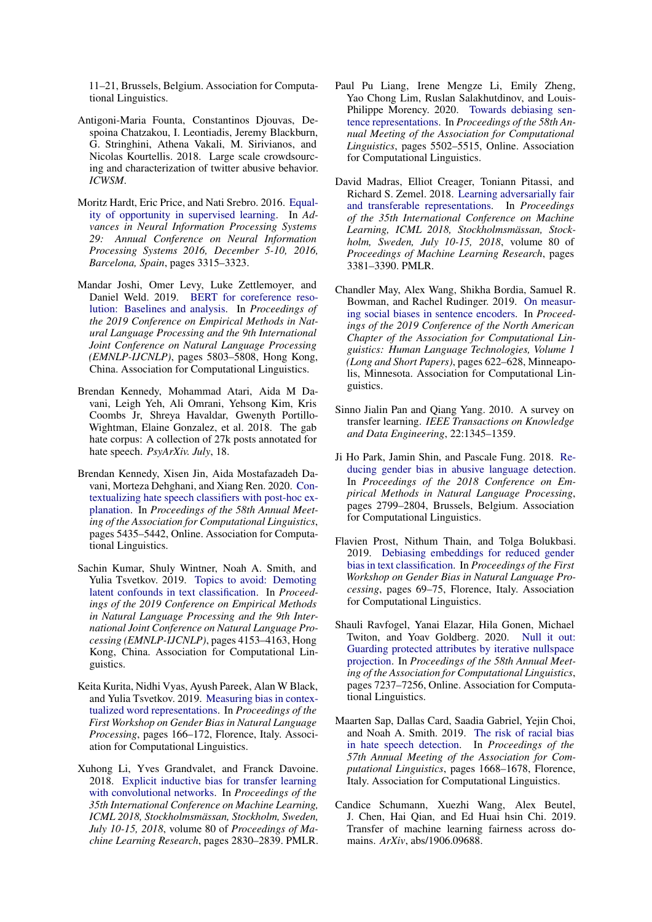11–21, Brussels, Belgium. Association for Computational Linguistics.

- <span id="page-9-11"></span>Antigoni-Maria Founta, Constantinos Djouvas, Despoina Chatzakou, I. Leontiadis, Jeremy Blackburn, G. Stringhini, Athena Vakali, M. Sirivianos, and Nicolas Kourtellis. 2018. Large scale crowdsourcing and characterization of twitter abusive behavior. *ICWSM*.
- <span id="page-9-9"></span>Moritz Hardt, Eric Price, and Nati Srebro. 2016. [Equal](https://proceedings.neurips.cc/paper/2016/hash/9d2682367c3935defcb1f9e247a97c0d-Abstract.html)[ity of opportunity in supervised learning.](https://proceedings.neurips.cc/paper/2016/hash/9d2682367c3935defcb1f9e247a97c0d-Abstract.html) In *Advances in Neural Information Processing Systems 29: Annual Conference on Neural Information Processing Systems 2016, December 5-10, 2016, Barcelona, Spain*, pages 3315–3323.
- <span id="page-9-16"></span>Mandar Joshi, Omer Levy, Luke Zettlemoyer, and Daniel Weld. 2019. [BERT for coreference reso](https://doi.org/10.18653/v1/D19-1588)[lution: Baselines and analysis.](https://doi.org/10.18653/v1/D19-1588) In *Proceedings of the 2019 Conference on Empirical Methods in Natural Language Processing and the 9th International Joint Conference on Natural Language Processing (EMNLP-IJCNLP)*, pages 5803–5808, Hong Kong, China. Association for Computational Linguistics.
- <span id="page-9-10"></span>Brendan Kennedy, Mohammad Atari, Aida M Davani, Leigh Yeh, Ali Omrani, Yehsong Kim, Kris Coombs Jr, Shreya Havaldar, Gwenyth Portillo-Wightman, Elaine Gonzalez, et al. 2018. The gab hate corpus: A collection of 27k posts annotated for hate speech. *PsyArXiv. July*, 18.
- <span id="page-9-1"></span>Brendan Kennedy, Xisen Jin, Aida Mostafazadeh Davani, Morteza Dehghani, and Xiang Ren. 2020. [Con](https://doi.org/10.18653/v1/2020.acl-main.483)[textualizing hate speech classifiers with post-hoc ex](https://doi.org/10.18653/v1/2020.acl-main.483)[planation.](https://doi.org/10.18653/v1/2020.acl-main.483) In *Proceedings of the 58th Annual Meeting of the Association for Computational Linguistics*, pages 5435–5442, Online. Association for Computational Linguistics.
- <span id="page-9-3"></span>Sachin Kumar, Shuly Wintner, Noah A. Smith, and Yulia Tsvetkov. 2019. [Topics to avoid: Demoting](https://doi.org/10.18653/v1/D19-1425) [latent confounds in text classification.](https://doi.org/10.18653/v1/D19-1425) In *Proceedings of the 2019 Conference on Empirical Methods in Natural Language Processing and the 9th International Joint Conference on Natural Language Processing (EMNLP-IJCNLP)*, pages 4153–4163, Hong Kong, China. Association for Computational Linguistics.
- <span id="page-9-0"></span>Keita Kurita, Nidhi Vyas, Ayush Pareek, Alan W Black, and Yulia Tsvetkov. 2019. [Measuring bias in contex](https://doi.org/10.18653/v1/W19-3823)[tualized word representations.](https://doi.org/10.18653/v1/W19-3823) In *Proceedings of the First Workshop on Gender Bias in Natural Language Processing*, pages 166–172, Florence, Italy. Association for Computational Linguistics.
- <span id="page-9-13"></span>Xuhong Li, Yves Grandvalet, and Franck Davoine. 2018. [Explicit inductive bias for transfer learning](http://proceedings.mlr.press/v80/li18a.html) [with convolutional networks.](http://proceedings.mlr.press/v80/li18a.html) In *Proceedings of the 35th International Conference on Machine Learning, ICML 2018, Stockholmsmässan, Stockholm, Sweden, July 10-15, 2018*, volume 80 of *Proceedings of Machine Learning Research*, pages 2830–2839. PMLR.
- <span id="page-9-5"></span>Paul Pu Liang, Irene Mengze Li, Emily Zheng, Yao Chong Lim, Ruslan Salakhutdinov, and Louis-Philippe Morency. 2020. [Towards debiasing sen](https://doi.org/10.18653/v1/2020.acl-main.488)[tence representations.](https://doi.org/10.18653/v1/2020.acl-main.488) In *Proceedings of the 58th Annual Meeting of the Association for Computational Linguistics*, pages 5502–5515, Online. Association for Computational Linguistics.
- <span id="page-9-8"></span>David Madras, Elliot Creager, Toniann Pitassi, and Richard S. Zemel. 2018. [Learning adversarially fair](http://proceedings.mlr.press/v80/madras18a.html) [and transferable representations.](http://proceedings.mlr.press/v80/madras18a.html) In *Proceedings of the 35th International Conference on Machine Learning, ICML 2018, Stockholmsmässan, Stockholm, Sweden, July 10-15, 2018*, volume 80 of *Proceedings of Machine Learning Research*, pages 3381–3390. PMLR.
- <span id="page-9-14"></span>Chandler May, Alex Wang, Shikha Bordia, Samuel R. Bowman, and Rachel Rudinger. 2019. [On measur](https://doi.org/10.18653/v1/N19-1063)[ing social biases in sentence encoders.](https://doi.org/10.18653/v1/N19-1063) In *Proceedings of the 2019 Conference of the North American Chapter of the Association for Computational Linguistics: Human Language Technologies, Volume 1 (Long and Short Papers)*, pages 622–628, Minneapolis, Minnesota. Association for Computational Linguistics.
- <span id="page-9-4"></span>Sinno Jialin Pan and Qiang Yang. 2010. A survey on transfer learning. *IEEE Transactions on Knowledge and Data Engineering*, 22:1345–1359.
- <span id="page-9-2"></span>Ji Ho Park, Jamin Shin, and Pascale Fung. 2018. [Re](https://doi.org/10.18653/v1/D18-1302)[ducing gender bias in abusive language detection.](https://doi.org/10.18653/v1/D18-1302) In *Proceedings of the 2018 Conference on Empirical Methods in Natural Language Processing*, pages 2799–2804, Brussels, Belgium. Association for Computational Linguistics.
- <span id="page-9-7"></span>Flavien Prost, Nithum Thain, and Tolga Bolukbasi. 2019. [Debiasing embeddings for reduced gender](https://doi.org/10.18653/v1/W19-3810) [bias in text classification.](https://doi.org/10.18653/v1/W19-3810) In *Proceedings of the First Workshop on Gender Bias in Natural Language Processing*, pages 69–75, Florence, Italy. Association for Computational Linguistics.
- <span id="page-9-6"></span>Shauli Ravfogel, Yanai Elazar, Hila Gonen, Michael Twiton, and Yoav Goldberg. 2020. [Null it out:](https://doi.org/10.18653/v1/2020.acl-main.647) [Guarding protected attributes by iterative nullspace](https://doi.org/10.18653/v1/2020.acl-main.647) [projection.](https://doi.org/10.18653/v1/2020.acl-main.647) In *Proceedings of the 58th Annual Meeting of the Association for Computational Linguistics*, pages 7237–7256, Online. Association for Computational Linguistics.
- <span id="page-9-12"></span>Maarten Sap, Dallas Card, Saadia Gabriel, Yejin Choi, and Noah A. Smith. 2019. [The risk of racial bias](https://doi.org/10.18653/v1/P19-1163) [in hate speech detection.](https://doi.org/10.18653/v1/P19-1163) In *Proceedings of the 57th Annual Meeting of the Association for Computational Linguistics*, pages 1668–1678, Florence, Italy. Association for Computational Linguistics.
- <span id="page-9-15"></span>Candice Schumann, Xuezhi Wang, Alex Beutel, J. Chen, Hai Qian, and Ed Huai hsin Chi. 2019. Transfer of machine learning fairness across domains. *ArXiv*, abs/1906.09688.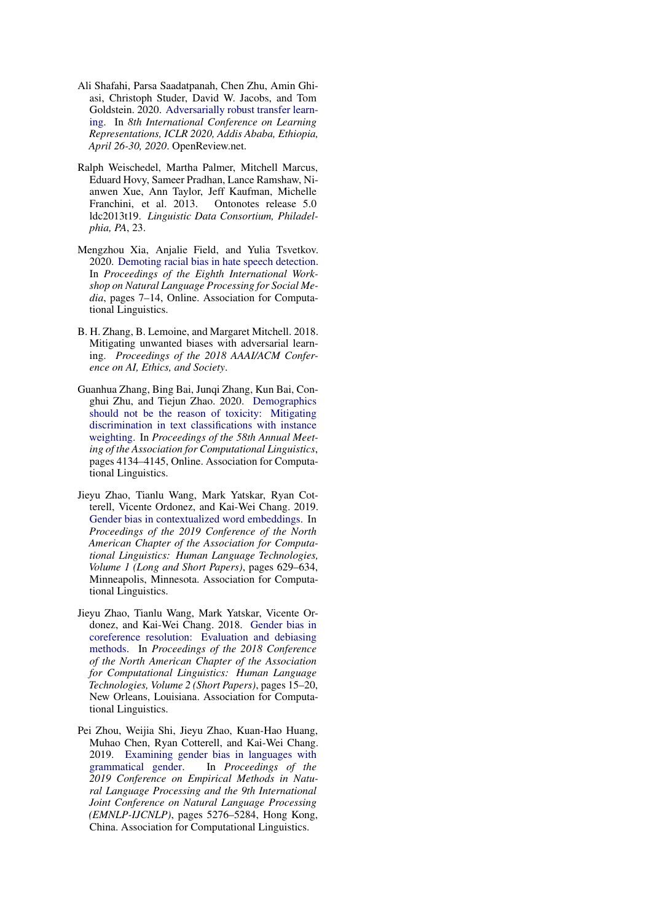- <span id="page-10-7"></span>Ali Shafahi, Parsa Saadatpanah, Chen Zhu, Amin Ghiasi, Christoph Studer, David W. Jacobs, and Tom Goldstein. 2020. [Adversarially robust transfer learn](https://openreview.net/forum?id=ryebG04YvB)[ing.](https://openreview.net/forum?id=ryebG04YvB) In *8th International Conference on Learning Representations, ICLR 2020, Addis Ababa, Ethiopia, April 26-30, 2020*. OpenReview.net.
- <span id="page-10-4"></span>Ralph Weischedel, Martha Palmer, Mitchell Marcus, Eduard Hovy, Sameer Pradhan, Lance Ramshaw, Nianwen Xue, Ann Taylor, Jeff Kaufman, Michelle Franchini, et al. 2013. Ontonotes release 5.0 ldc2013t19. *Linguistic Data Consortium, Philadelphia, PA*, 23.
- <span id="page-10-6"></span>Mengzhou Xia, Anjalie Field, and Yulia Tsvetkov. 2020. [Demoting racial bias in hate speech detection.](https://doi.org/10.18653/v1/2020.socialnlp-1.2) In *Proceedings of the Eighth International Workshop on Natural Language Processing for Social Media*, pages 7–14, Online. Association for Computational Linguistics.
- <span id="page-10-0"></span>B. H. Zhang, B. Lemoine, and Margaret Mitchell. 2018. Mitigating unwanted biases with adversarial learning. *Proceedings of the 2018 AAAI/ACM Conference on AI, Ethics, and Society*.
- <span id="page-10-5"></span>Guanhua Zhang, Bing Bai, Junqi Zhang, Kun Bai, Conghui Zhu, and Tiejun Zhao. 2020. [Demographics](https://doi.org/10.18653/v1/2020.acl-main.380) [should not be the reason of toxicity: Mitigating](https://doi.org/10.18653/v1/2020.acl-main.380) [discrimination in text classifications with instance](https://doi.org/10.18653/v1/2020.acl-main.380) [weighting.](https://doi.org/10.18653/v1/2020.acl-main.380) In *Proceedings of the 58th Annual Meeting of the Association for Computational Linguistics*, pages 4134–4145, Online. Association for Computational Linguistics.
- <span id="page-10-3"></span>Jieyu Zhao, Tianlu Wang, Mark Yatskar, Ryan Cotterell, Vicente Ordonez, and Kai-Wei Chang. 2019. [Gender bias in contextualized word embeddings.](https://doi.org/10.18653/v1/N19-1064) In *Proceedings of the 2019 Conference of the North American Chapter of the Association for Computational Linguistics: Human Language Technologies, Volume 1 (Long and Short Papers)*, pages 629–634, Minneapolis, Minnesota. Association for Computational Linguistics.
- <span id="page-10-1"></span>Jieyu Zhao, Tianlu Wang, Mark Yatskar, Vicente Ordonez, and Kai-Wei Chang. 2018. [Gender bias in](https://doi.org/10.18653/v1/N18-2003) [coreference resolution: Evaluation and debiasing](https://doi.org/10.18653/v1/N18-2003) [methods.](https://doi.org/10.18653/v1/N18-2003) In *Proceedings of the 2018 Conference of the North American Chapter of the Association for Computational Linguistics: Human Language Technologies, Volume 2 (Short Papers)*, pages 15–20, New Orleans, Louisiana. Association for Computational Linguistics.
- <span id="page-10-2"></span>Pei Zhou, Weijia Shi, Jieyu Zhao, Kuan-Hao Huang, Muhao Chen, Ryan Cotterell, and Kai-Wei Chang. 2019. [Examining gender bias in languages with](https://doi.org/10.18653/v1/D19-1531) grammatical gender. In *Proceedings of the* In *Proceedings of the 2019 Conference on Empirical Methods in Natural Language Processing and the 9th International Joint Conference on Natural Language Processing (EMNLP-IJCNLP)*, pages 5276–5284, Hong Kong, China. Association for Computational Linguistics.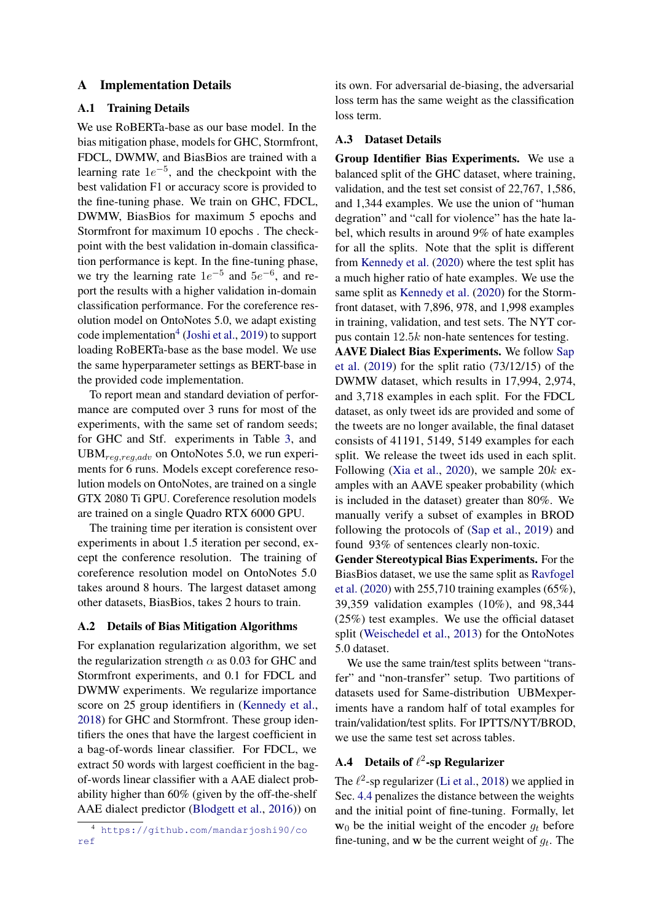### A Implementation Details

### A.1 Training Details

We use RoBERTa-base as our base model. In the bias mitigation phase, models for GHC, Stormfront, FDCL, DWMW, and BiasBios are trained with a learning rate  $1e^{-5}$ , and the checkpoint with the best validation F1 or accuracy score is provided to the fine-tuning phase. We train on GHC, FDCL, DWMW, BiasBios for maximum 5 epochs and Stormfront for maximum 10 epochs . The checkpoint with the best validation in-domain classification performance is kept. In the fine-tuning phase, we try the learning rate  $1e^{-5}$  and  $5e^{-6}$ , and report the results with a higher validation in-domain classification performance. For the coreference resolution model on OntoNotes 5.0, we adapt existing code implementation<sup>[4](#page-11-0)</sup> [\(Joshi et al.,](#page-9-16) [2019\)](#page-9-16) to support loading RoBERTa-base as the base model. We use the same hyperparameter settings as BERT-base in the provided code implementation.

To report mean and standard deviation of performance are computed over 3 runs for most of the experiments, with the same set of random seeds; for GHC and Stf. experiments in Table [3,](#page-5-0) and  $UBM_{reg,reg,adv}$  on OntoNotes 5.0, we run experiments for 6 runs. Models except coreference resolution models on OntoNotes, are trained on a single GTX 2080 Ti GPU. Coreference resolution models are trained on a single Quadro RTX 6000 GPU.

The training time per iteration is consistent over experiments in about 1.5 iteration per second, except the conference resolution. The training of coreference resolution model on OntoNotes 5.0 takes around 8 hours. The largest dataset among other datasets, BiasBios, takes 2 hours to train.

### A.2 Details of Bias Mitigation Algorithms

For explanation regularization algorithm, we set the regularization strength  $\alpha$  as 0.03 for GHC and Stormfront experiments, and 0.1 for FDCL and DWMW experiments. We regularize importance score on 25 group identifiers in [\(Kennedy et al.,](#page-9-10) [2018\)](#page-9-10) for GHC and Stormfront. These group identifiers the ones that have the largest coefficient in a bag-of-words linear classifier. For FDCL, we extract 50 words with largest coefficient in the bagof-words linear classifier with a AAE dialect probability higher than 60% (given by the off-the-shelf AAE dialect predictor [\(Blodgett et al.,](#page-8-12) [2016\)](#page-8-12)) on

its own. For adversarial de-biasing, the adversarial loss term has the same weight as the classification loss term.

### A.3 Dataset Details

Group Identifier Bias Experiments. We use a balanced split of the GHC dataset, where training, validation, and the test set consist of 22,767, 1,586, and 1,344 examples. We use the union of "human degration" and "call for violence" has the hate label, which results in around 9% of hate examples for all the splits. Note that the split is different from [Kennedy et al.](#page-9-1) [\(2020\)](#page-9-1) where the test split has a much higher ratio of hate examples. We use the same split as [Kennedy et al.](#page-9-1) [\(2020\)](#page-9-1) for the Stormfront dataset, with 7,896, 978, and 1,998 examples in training, validation, and test sets. The NYT corpus contain 12.5k non-hate sentences for testing.

AAVE Dialect Bias Experiments. We follow [Sap](#page-9-12) [et al.](#page-9-12) [\(2019\)](#page-9-12) for the split ratio (73/12/15) of the DWMW dataset, which results in 17,994, 2,974, and 3,718 examples in each split. For the FDCL dataset, as only tweet ids are provided and some of the tweets are no longer available, the final dataset consists of 41191, 5149, 5149 examples for each split. We release the tweet ids used in each split. Following [\(Xia et al.,](#page-10-6) [2020\)](#page-10-6), we sample  $20k$  examples with an AAVE speaker probability (which is included in the dataset) greater than 80%. We manually verify a subset of examples in BROD following the protocols of [\(Sap et al.,](#page-9-12) [2019\)](#page-9-12) and found 93% of sentences clearly non-toxic.

Gender Stereotypical Bias Experiments. For the BiasBios dataset, we use the same split as [Ravfogel](#page-9-6) [et al.](#page-9-6) [\(2020\)](#page-9-6) with 255,710 training examples (65%), 39,359 validation examples (10%), and 98,344 (25%) test examples. We use the official dataset split [\(Weischedel et al.,](#page-10-4) [2013\)](#page-10-4) for the OntoNotes 5.0 dataset.

We use the same train/test splits between "transfer" and "non-transfer" setup. Two partitions of datasets used for Same-distribution UBMexperiments have a random half of total examples for train/validation/test splits. For IPTTS/NYT/BROD, we use the same test set across tables.

# A.4 Details of  $\ell^2$ -sp Regularizer

The  $\ell^2$ -sp regularizer [\(Li et al.,](#page-9-13) [2018\)](#page-9-13) we applied in Sec. [4.4](#page-6-2) penalizes the distance between the weights and the initial point of fine-tuning. Formally, let  $w_0$  be the initial weight of the encoder  $q_t$  before fine-tuning, and w be the current weight of  $g_t$ . The

<span id="page-11-0"></span><sup>4</sup> [https://github.com/mandarjoshi90/co](https://github.com/mandarjoshi90/coref) [ref](https://github.com/mandarjoshi90/coref)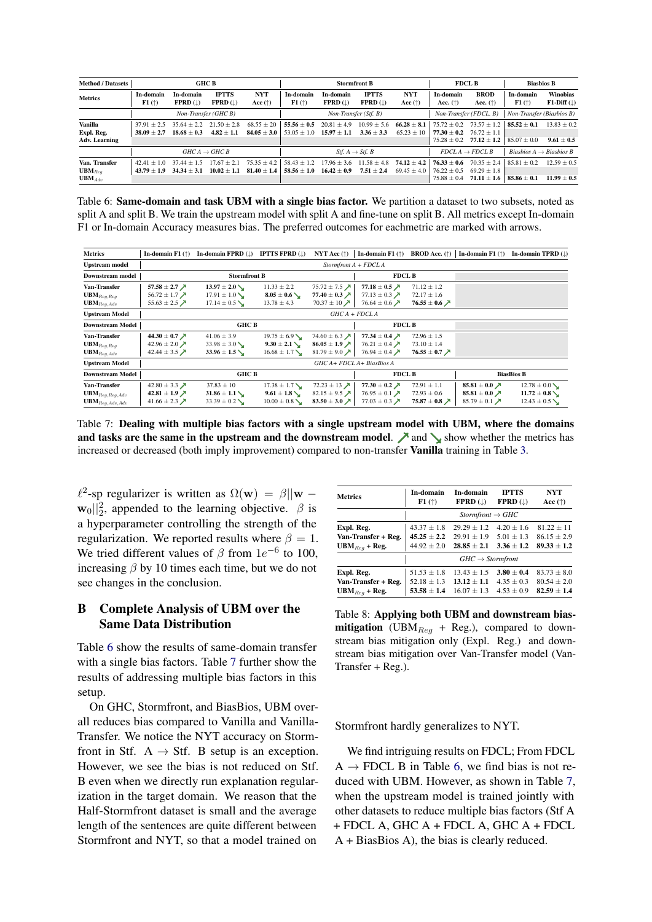<span id="page-12-0"></span>

| <b>Method / Datasets</b>                      | <b>GHC B</b>                   |                                        |                                            | <b>Stormfront B</b>               |                                    |                                    |                                         | <b>FDCL B</b>                       |                                                   | <b>Biasbios B</b>                                   |                                  |                                 |
|-----------------------------------------------|--------------------------------|----------------------------------------|--------------------------------------------|-----------------------------------|------------------------------------|------------------------------------|-----------------------------------------|-------------------------------------|---------------------------------------------------|-----------------------------------------------------|----------------------------------|---------------------------------|
| <b>Metrics</b>                                | In-domain<br>F1(               | In-domain<br>$FPRD$ ( $\downarrow$ )   | <b>IPTTS</b><br>$FPRD$ (1)                 | <b>NYT</b><br>Acc $(\uparrow)$    | In-domain<br>F1(                   | In-domain<br>$FPRD$ (1)            | <b>IPTTS</b><br>$FPRD$ ( $\downarrow$ ) | <b>NYT</b><br>Acc $(\uparrow)$      | In-domain<br>Acc. $(\uparrow)$                    | <b>BROD</b><br>Acc. $(\uparrow)$                    | In-domain<br>F1(                 | <b>Winobias</b><br>$F1-Diff($   |
|                                               | Non-Transfer (GHC B)           |                                        |                                            | Non-Transfer (Stf. B)             |                                    |                                    |                                         |                                     | Non-Transfer (FDCL, B)                            | Non-Transfer (Biasbios B)                           |                                  |                                 |
| Vanilla<br>Expl. Reg.<br><b>Adv. Learning</b> | $37.91 + 2.5$<br>$38.09 + 2.7$ | $35.64 + 2.2$<br>$18.68 + 0.3$         | $21.50 + 2.8$<br>$4.82 + 1.1$              | $68.55 \pm 20$<br>$84.05 \pm 3.0$ | $55.56 \pm 0.5$<br>$53.05 + 1.0$   | $20.81 \pm 4.9$<br>$15.97 \pm 1.1$ | $10.99 \pm 5.6$<br>$3.36 + 3.3$         | $66.28 \pm 8.1$<br>$65.23 + 10$     | $75.72 + 0.2$<br>$77.30 + 0.2$<br>$75.28 \pm 0.2$ | $73.57 \pm 1.2$<br>$76.72 + 1.1$<br>$77.12 \pm 1.2$ | $85.52 + 0.1$<br>$85.07 \pm 0.0$ | $13.83 + 0.2$<br>$9.61 \pm 0.5$ |
|                                               | $GHCA \rightarrow GHCB$        |                                        | <i>Stf.</i> $A \rightarrow S$ <i>tf. B</i> |                                   |                                    |                                    | $FDCLA \rightarrow FDCLB$               | Biasbios $A \rightarrow$ Biasbios B |                                                   |                                                     |                                  |                                 |
| Van. Transfer<br>$UBM_{Req}$<br>$UBM_{Adv}$   | $42.41 + 1.0$<br>$43.79 + 1.9$ | 37<br>$.44 + 1$<br>.5<br>$34.34 + 3.1$ | 17.67<br>$+21$<br>$10.02 + 1.1$            | $75.35 + 4.2$<br>$81.40 \pm 1.4$  | $58.43 \pm 1.2$<br>$58.56 \pm 1.0$ | $17.96 \pm 3.6$<br>$16.42 + 0.9$   | $11.58 + 4.8$<br>$7.51 \pm 2.4$         | $74.12 + 4.2$<br>$69.45 \pm 4.0$    | $76.33 + 0.6$<br>$76.22 + 0.5$<br>$75.88 \pm 0.4$ | $70.35 + 2.4$<br>$69.29 + 1.8$<br>$71.11 \pm 1.6$   | $85.81 + 0.2$<br>$85.86 \pm 0.1$ | $12.59 + 0.5$<br>$11.99 + 0.5$  |

Table 6: Same-domain and task UBM with a single bias factor. We partition a dataset to two subsets, noted as split A and split B. We train the upstream model with split A and fine-tune on split B. All metrics except In-domain F1 or In-domain Accuracy measures bias. The preferred outcomes for eachmetric are marked with arrows.

<span id="page-12-1"></span>

| <b>Metrics</b>                 | In-domain $F1$ ( $\uparrow$ )          | In-domain FPRD $(\downarrow)$ | <b>IPTTS FPRD</b> $(\downarrow)$ | NYT Acc $(\uparrow)$                   | In-domain F1 $(\uparrow)$                 | <b>BROD</b> Acc. (†)                      | In-domain F1 $(\uparrow)$      | In-domain TPRD (L) |  |  |
|--------------------------------|----------------------------------------|-------------------------------|----------------------------------|----------------------------------------|-------------------------------------------|-------------------------------------------|--------------------------------|--------------------|--|--|
| Upstream model                 |                                        | $StormfrontA + FDCLA$         |                                  |                                        |                                           |                                           |                                |                    |  |  |
| <b>Downstream model</b>        | <b>Stormfront B</b>                    |                               |                                  |                                        | <b>FDCL B</b>                             |                                           |                                |                    |  |  |
| Van-Transfer                   | 57.58 $\pm$ 2.7 $\cancel{\pi}$         | $13.97 \pm 2.0$               | $11.33 \pm 2.2$                  | $75.72 \pm 7.5$ $\cancel{\phantom{0}}$ | 77.18 $\pm$ 0.5 $\cancel{\sqrt{ }}$       | $71.12 \pm 1.2$                           |                                |                    |  |  |
| $UBM_{Req,Req}$                | 56.72 ± 1.7 $\lambda$                  | $17.91 \pm 1.0$               | $8.05 \pm 0.6$                   | 77.40 $\pm$ 0.3 $\cancel{\sqrt{ }}$    | 77.13 $\pm$ 0.3 $\cancel{\pi}$            | $72.17 \pm 1.6$                           |                                |                    |  |  |
| $\mathbf{UBM}_{Reg,Adv}$       | 55.63 $\pm$ 2.5 $\cancel{\pi}$         | $17.14 \pm 0.5$               | $13.78 \pm 4.3$                  | 70.37 $\pm$ 10 $\cancel{\prime}$       | 76.64 $\pm$ 0.6 $\cancel{\pi}$            | 76.55 $\pm$ 0.6 $\cancel{\pi}$            |                                |                    |  |  |
| <b>Upstream Model</b>          |                                        | $GHCA + FDCLA$                |                                  |                                        |                                           |                                           |                                |                    |  |  |
| <b>Downstream Model</b>        | <b>GHC B</b>                           |                               |                                  |                                        | <b>FDCL B</b>                             |                                           |                                |                    |  |  |
| Van-Transfer                   | 44.30 $\pm$ 0.7 $\cancel{\pi}$         | $41.06 \pm 3.9$               | $19.75 \pm 6.9$                  | 74.60 $\pm$ 6.3 $\cancel{\phantom{1}}$ | 77.34 $\pm$ 0.4 $\lambda$                 | $72.96 \pm 1.5$                           |                                |                    |  |  |
| $\mathbf{UBM}_{Reg,Reg}$       | 42.96 ± 2.0 $\cancel{\pi}$             | $33.98 \pm 3.0$               | $9.30 \pm 2.1$ \                 | $86.05 \pm 1.9$ $\lambda$              | 76.21 $\pm$ 0.4 $\cancel{\pi}$            | $73.10 \pm 1.4$                           |                                |                    |  |  |
| $UBM_{Reg, Adv}$               | 42.44 $\pm$ 3.5 $\cancel{\pi}$         | $33.96 \pm 1.5$               | $16.68 \pm 1.7$                  | 81.79 ± 9.0 $\cancel{\triangleright}$  | 76.94 $\pm$ 0.4 $\cancel{\pi}$            | 76.55 $\pm$ 0.7 $\cancel{\triangleright}$ |                                |                    |  |  |
| <b>Upstream Model</b>          |                                        |                               |                                  | GHC A+ FDCL A+ BiasBios A              |                                           |                                           |                                |                    |  |  |
| <b>Downstream Model</b>        | <b>GHC B</b>                           |                               |                                  |                                        | <b>FDCL B</b>                             |                                           | <b>BiasBios B</b>              |                    |  |  |
| Van-Transfer                   | 42.80 $\pm$ 3.3 $\cancel{\phantom{0}}$ | $37.83 \pm 10$                | $17.38 \pm 1.7$                  | $72.23 \pm 13$ $\cancel{\phantom{1}}$  | 77.30 $\pm$ 0.2 $\cancel{\sqrt{ }}$       | $72.91 \pm 1.1$                           | 85.81 $\pm$ 0.0 $\cancel{\pi}$ | $12.78 \pm 0.0$    |  |  |
| $\mathbf{UBM}_{Reg,Reg,Adv}$   | 42.81 ± 1.9 $\lambda$                  | $31.86 \pm 1.1$               | $9.61 \pm 1.8$                   | 82.15 ± 9.5 $\cancel{\pi}$             | 76.95 $\pm$ 0.1 $\cancel{\pi}$            | $72.93 \pm 0.6$                           | 85.81 $\pm$ 0.0 $\cancel{\pi}$ | $11.72 \pm 0.8$    |  |  |
| $\mathbf{UBM}_{Reg, Adv, Adv}$ | 41.66 ± 2.3 $\cancel{\triangleright}$  | $33.39 \pm 0.2$               | $10.00 \pm 0.8$                  | 83.50 $\pm$ 3.0 $\cancel{\pi}$         | 77.03 $\pm$ 0.3 $\cancel{\triangleright}$ | 75.87 $\pm$ 0.8 $\cancel{\sqrt{ }}$       | 85.79 ± 0.1 $\lambda$          | $12.43 \pm 0.5$    |  |  |

Table 7: Dealing with multiple bias factors with a single upstream model with UBM, where the domains and tasks are the same in the upstream and the downstream model.  $\nearrow$  and  $\searrow$  show whether the metrics has increased or decreased (both imply improvement) compared to non-transfer **Vanilla** training in Table [3.](#page-5-0)

 $\ell^2$ -sp regularizer is written as  $\Omega(\mathbf{w}) = \beta ||\mathbf{w} - \mathbf{w}||$  $\mathbf{w}_0 \vert_2^2$ , appended to the learning objective.  $\beta$  is a hyperparameter controlling the strength of the regularization. We reported results where  $\beta = 1$ . We tried different values of  $\beta$  from  $1e^{-6}$  to 100, increasing  $\beta$  by 10 times each time, but we do not see changes in the conclusion.

# B Complete Analysis of UBM over the Same Data Distribution

Table [6](#page-12-0) show the results of same-domain transfer with a single bias factors. Table [7](#page-12-1) further show the results of addressing multiple bias factors in this setup.

On GHC, Stormfront, and BiasBios, UBM overall reduces bias compared to Vanilla and Vanilla-Transfer. We notice the NYT accuracy on Stormfront in Stf.  $A \rightarrow S$ tf. B setup is an exception. However, we see the bias is not reduced on Stf. B even when we directly run explanation regularization in the target domain. We reason that the Half-Stormfront dataset is small and the average length of the sentences are quite different between Stormfront and NYT, so that a model trained on

<span id="page-12-2"></span>

| <b>Metrics</b>      | In-domain<br>F1(             | In-domain<br>$FPRD$ ( $\downarrow$ ) | <b>IPTTS</b><br>$FPRD$ ( $\downarrow$ ) | <b>NYT</b><br>Acc $(\uparrow)$ |  |  |  |  |
|---------------------|------------------------------|--------------------------------------|-----------------------------------------|--------------------------------|--|--|--|--|
|                     |                              | $Stormfront \rightarrow GHC$         |                                         |                                |  |  |  |  |
| Expl. Reg.          | $43.37 + 1.8$                | $29.29 + 1.2$                        | $4.20 + 1.6$                            | $81.22 + 11$                   |  |  |  |  |
| Van-Transfer + Reg. | $45.25 + 2.2$                | $29.91 + 1.9$                        | $5.01 + 1.3$                            | $86.15 + 2.9$                  |  |  |  |  |
| $UBM_{Req}$ + Reg.  | $44.92 \pm 2.0$              | $28.85 + 2.1$                        | $3.36 + 1.2$                            | $89.33 \pm 1.2$                |  |  |  |  |
|                     | $GHC \rightarrow Stormfront$ |                                      |                                         |                                |  |  |  |  |
| Expl. Reg.          | $51.53 \pm 1.8$              | $13.43 + 1.5$                        | $3.80 + 0.4$                            | $83.73 + 8.0$                  |  |  |  |  |
| Van-Transfer + Reg. | $52.18 \pm 1.3$              | $13.12 + 1.1$                        | $4.35 + 0.3$                            | $80.54 + 2.0$                  |  |  |  |  |
| $UBM_{Req}$ + Reg.  | $53.58 \pm 1.4$              | $16.07 \pm 1.3$                      | $4.53 + 0.9$                            | $82.59 \pm 1.4$                |  |  |  |  |

Table 8: Applying both UBM and downstream bias**mitigation** (UBM<sub>Reg</sub> + Reg.), compared to downstream bias mitigation only (Expl. Reg.) and downstream bias mitigation over Van-Transfer model (Van-Transfer + Reg.).

Stormfront hardly generalizes to NYT.

We find intriguing results on FDCL; From FDCL  $A \rightarrow FDCL$  B in Table [6,](#page-12-0) we find bias is not reduced with UBM. However, as shown in Table [7,](#page-12-1) when the upstream model is trained jointly with other datasets to reduce multiple bias factors (Stf A + FDCL A, GHC A + FDCL A, GHC A + FDCL A + BiasBios A), the bias is clearly reduced.